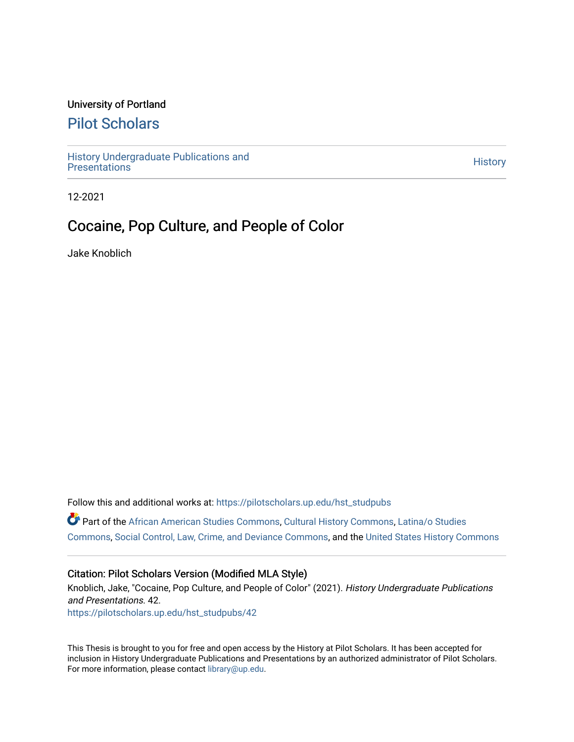### University of Portland

# [Pilot Scholars](https://pilotscholars.up.edu/)

[History Undergraduate Publications and](https://pilotscholars.up.edu/hst_studpubs) Thistory Undergraduate Publications and<br>[Presentations](https://pilotscholars.up.edu/hst_studpubs) History

12-2021

# Cocaine, Pop Culture, and People of Color

Jake Knoblich

Follow this and additional works at: [https://pilotscholars.up.edu/hst\\_studpubs](https://pilotscholars.up.edu/hst_studpubs?utm_source=pilotscholars.up.edu%2Fhst_studpubs%2F42&utm_medium=PDF&utm_campaign=PDFCoverPages)  Part of the [African American Studies Commons,](https://network.bepress.com/hgg/discipline/567?utm_source=pilotscholars.up.edu%2Fhst_studpubs%2F42&utm_medium=PDF&utm_campaign=PDFCoverPages) [Cultural History Commons](https://network.bepress.com/hgg/discipline/496?utm_source=pilotscholars.up.edu%2Fhst_studpubs%2F42&utm_medium=PDF&utm_campaign=PDFCoverPages), [Latina/o Studies](https://network.bepress.com/hgg/discipline/1315?utm_source=pilotscholars.up.edu%2Fhst_studpubs%2F42&utm_medium=PDF&utm_campaign=PDFCoverPages)  [Commons](https://network.bepress.com/hgg/discipline/1315?utm_source=pilotscholars.up.edu%2Fhst_studpubs%2F42&utm_medium=PDF&utm_campaign=PDFCoverPages), [Social Control, Law, Crime, and Deviance Commons](https://network.bepress.com/hgg/discipline/429?utm_source=pilotscholars.up.edu%2Fhst_studpubs%2F42&utm_medium=PDF&utm_campaign=PDFCoverPages), and the [United States History Commons](https://network.bepress.com/hgg/discipline/495?utm_source=pilotscholars.up.edu%2Fhst_studpubs%2F42&utm_medium=PDF&utm_campaign=PDFCoverPages) 

#### Citation: Pilot Scholars Version (Modified MLA Style)

Knoblich, Jake, "Cocaine, Pop Culture, and People of Color" (2021). History Undergraduate Publications and Presentations. 42. [https://pilotscholars.up.edu/hst\\_studpubs/42](https://pilotscholars.up.edu/hst_studpubs/42?utm_source=pilotscholars.up.edu%2Fhst_studpubs%2F42&utm_medium=PDF&utm_campaign=PDFCoverPages) 

This Thesis is brought to you for free and open access by the History at Pilot Scholars. It has been accepted for inclusion in History Undergraduate Publications and Presentations by an authorized administrator of Pilot Scholars. For more information, please contact [library@up.edu.](mailto:library@up.edu)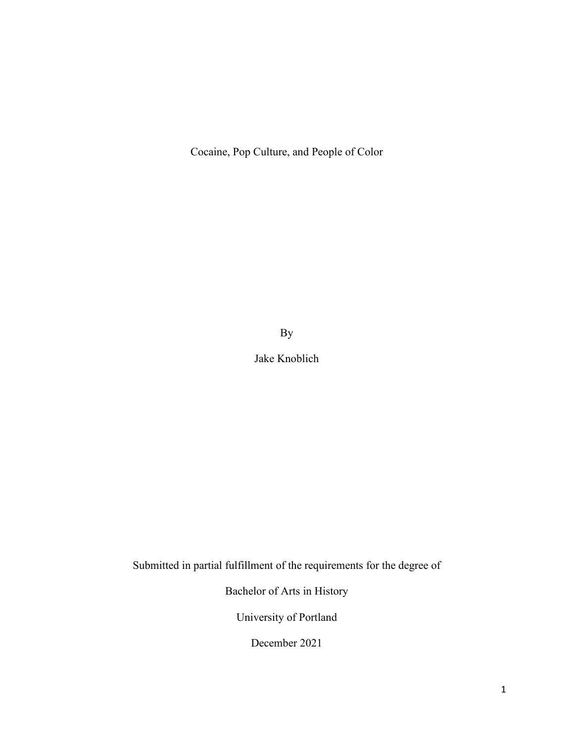Cocaine, Pop Culture, and People of Color

By

Jake Knoblich

Submitted in partial fulfillment of the requirements for the degree of

Bachelor of Arts in History

University of Portland

December 2021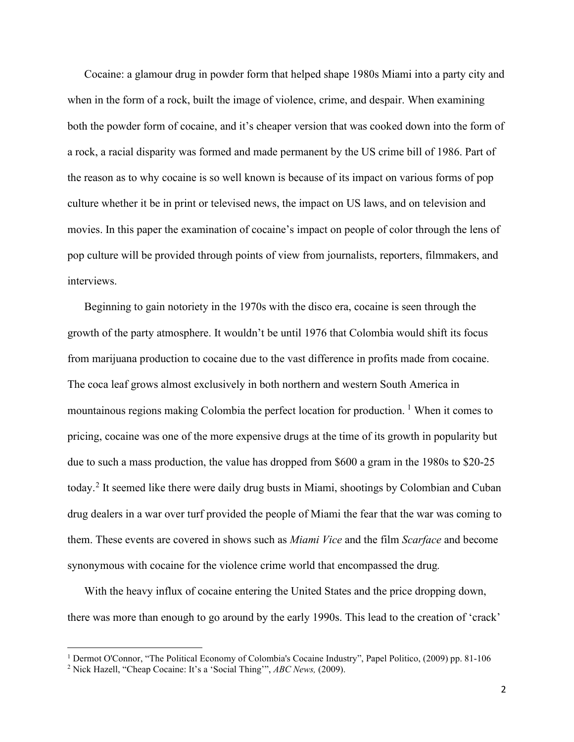Cocaine: a glamour drug in powder form that helped shape 1980s Miami into a party city and when in the form of a rock, built the image of violence, crime, and despair. When examining both the powder form of cocaine, and it's cheaper version that was cooked down into the form of a rock, a racial disparity was formed and made permanent by the US crime bill of 1986. Part of the reason as to why cocaine is so well known is because of its impact on various forms of pop culture whether it be in print or televised news, the impact on US laws, and on television and movies. In this paper the examination of cocaine's impact on people of color through the lens of pop culture will be provided through points of view from journalists, reporters, filmmakers, and interviews.

Beginning to gain notoriety in the 1970s with the disco era, cocaine is seen through the growth of the party atmosphere. It wouldn't be until 1976 that Colombia would shift its focus from marijuana production to cocaine due to the vast difference in profits made from cocaine. The coca leaf grows almost exclusively in both northern and western South America in mountainous regions making Colombia the perfect location for production. <sup>[1](#page-2-0)</sup> When it comes to pricing, cocaine was one of the more expensive drugs at the time of its growth in popularity but due to such a mass production, the value has dropped from \$600 a gram in the 1980s to \$20-25 today.[2](#page-2-1) It seemed like there were daily drug busts in Miami, shootings by Colombian and Cuban drug dealers in a war over turf provided the people of Miami the fear that the war was coming to them. These events are covered in shows such as *Miami Vice* and the film *Scarface* and become synonymous with cocaine for the violence crime world that encompassed the drug*.*

With the heavy influx of cocaine entering the United States and the price dropping down, there was more than enough to go around by the early 1990s. This lead to the creation of 'crack'

<span id="page-2-0"></span><sup>&</sup>lt;sup>1</sup> Dermot O'Connor, "The Political Economy of Colombia's Cocaine Industry", Papel Politico, (2009) pp. 81-106

<span id="page-2-1"></span><sup>2</sup> Nick Hazell, "Cheap Cocaine: It's a 'Social Thing'", *ABC News,* (2009).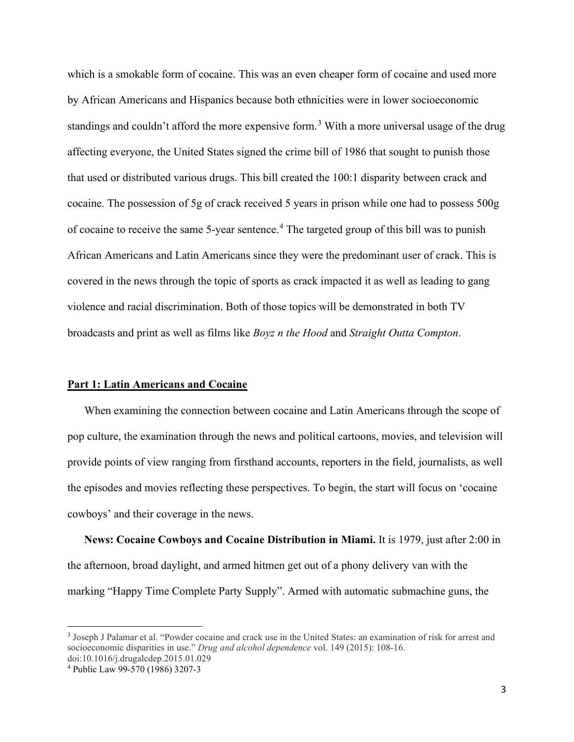which is a smokable form of cocaine. This was an even cheaper form of cocaine and used more by African Americans and Hispanics because both ethnicities were in lower socioeconomic standings and couldn't afford the more expensive form.<sup>[3](#page-3-0)</sup> With a more universal usage of the drug affecting everyone, the United States signed the crime bill of 1986 that sought to punish those that used or distributed various drugs. This bill created the 100:1 disparity between crack and cocaine. The possession of 5g of crack received 5 years in prison while one had to possess 500g of cocaine to receive the same 5-year sentence.<sup>[4](#page-3-1)</sup> The targeted group of this bill was to punish African Americans and Latin Americans since they were the predominant user of crack. This is covered in the news through the topic of sports as crack impacted it as well as leading to gang violence and racial discrimination. Both of those topics will be demonstrated in both TV broadcasts and print as well as films like *Boyz n the Hood* and *Straight Outta Compton*.

#### **Part 1: Latin Americans and Cocaine**

When examining the connection between cocaine and Latin Americans through the scope of pop culture, the examination through the news and political cartoons, movies, and television will provide points of view ranging from firsthand accounts, reporters in the field, journalists, as well the episodes and movies reflecting these perspectives. To begin, the start will focus on 'cocaine cowboys' and their coverage in the news.

**News: Cocaine Cowboys and Cocaine Distribution in Miami.** It is 1979, just after 2:00 in the afternoon, broad daylight, and armed hitmen get out of a phony delivery van with the marking "Happy Time Complete Party Supply". Armed with automatic submachine guns, the

<span id="page-3-0"></span><sup>3</sup> Joseph J Palamar et al. "Powder cocaine and crack use in the United States: an examination of risk for arrest and socioeconomic disparities in use." *Drug and alcohol dependence* vol. 149 (2015): 108-16. doi:10.1016/j.drugalcdep.2015.01.029

<span id="page-3-1"></span><sup>4</sup> Public Law 99-570 (1986) 3207-3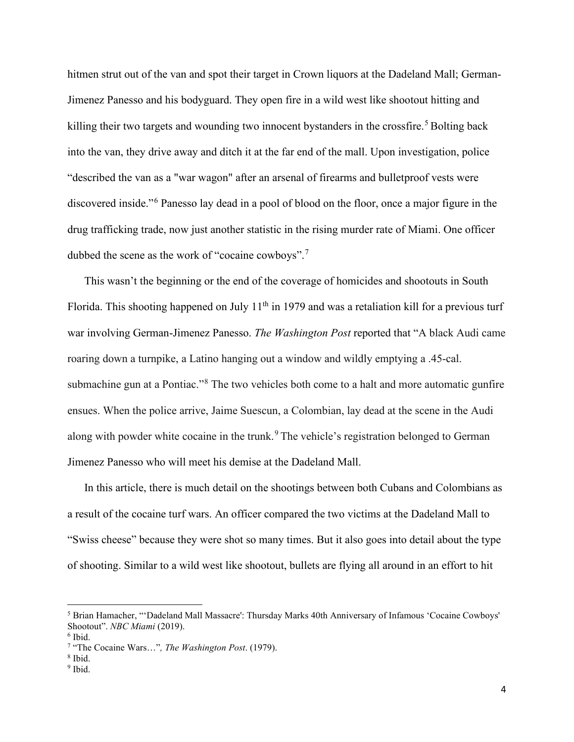hitmen strut out of the van and spot their target in Crown liquors at the Dadeland Mall; German-Jimenez Panesso and his bodyguard. They open fire in a wild west like shootout hitting and killing their two targets and wounding two innocent bystanders in the crossfire.<sup>[5](#page-4-0)</sup> Bolting back into the van, they drive away and ditch it at the far end of the mall. Upon investigation, police "described the van as a "war wagon" after an arsenal of firearms and bulletproof vests were discovered inside."<sup>[6](#page-4-1)</sup> Panesso lay dead in a pool of blood on the floor, once a major figure in the drug trafficking trade, now just another statistic in the rising murder rate of Miami. One officer dubbed the scene as the work of "cocaine cowboys".[7](#page-4-2)

This wasn't the beginning or the end of the coverage of homicides and shootouts in South Florida. This shooting happened on July 11<sup>th</sup> in 1979 and was a retaliation kill for a previous turf war involving German-Jimenez Panesso. *The Washington Post* reported that "A black Audi came roaring down a turnpike, a Latino hanging out a window and wildly emptying a .45-cal. submachine gun at a Pontiac."<sup>[8](#page-4-3)</sup> The two vehicles both come to a halt and more automatic gunfire ensues. When the police arrive, Jaime Suescun, a Colombian, lay dead at the scene in the Audi along with powder white cocaine in the trunk.<sup>[9](#page-4-4)</sup> The vehicle's registration belonged to German Jimenez Panesso who will meet his demise at the Dadeland Mall.

In this article, there is much detail on the shootings between both Cubans and Colombians as a result of the cocaine turf wars. An officer compared the two victims at the Dadeland Mall to "Swiss cheese" because they were shot so many times. But it also goes into detail about the type of shooting. Similar to a wild west like shootout, bullets are flying all around in an effort to hit

<span id="page-4-0"></span><sup>5</sup> Brian Hamacher, "'Dadeland Mall Massacre': Thursday Marks 40th Anniversary of Infamous 'Cocaine Cowboys' Shootout". *NBC Miami* (2019).

<span id="page-4-2"></span><span id="page-4-1"></span> $6$  Ibid.

<sup>7</sup> "The Cocaine Wars…"*, The Washington Post*. (1979). 8 Ibid.

<span id="page-4-3"></span>

<span id="page-4-4"></span><sup>&</sup>lt;sup>9</sup> Ibid.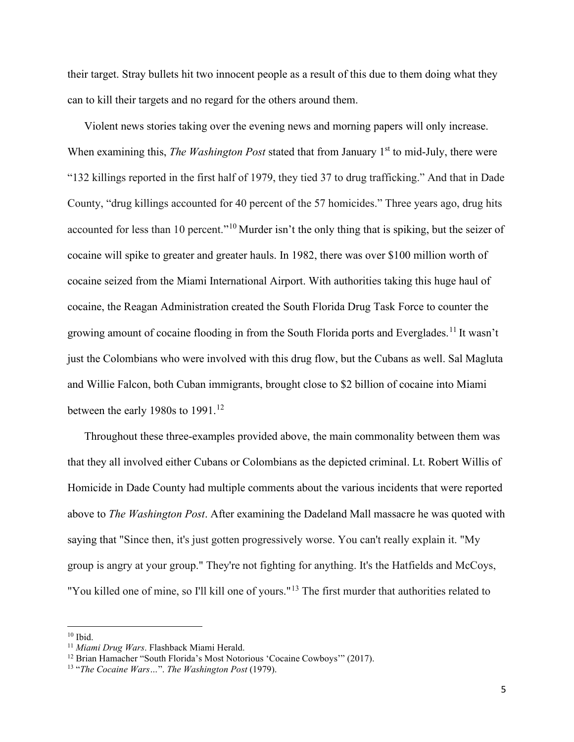their target. Stray bullets hit two innocent people as a result of this due to them doing what they can to kill their targets and no regard for the others around them.

Violent news stories taking over the evening news and morning papers will only increase. When examining this, *The Washington Post* stated that from January 1<sup>st</sup> to mid-July, there were "132 killings reported in the first half of 1979, they tied 37 to drug trafficking." And that in Dade County, "drug killings accounted for 40 percent of the 57 homicides." Three years ago, drug hits accounted for less than [10](#page-5-0) percent."<sup>10</sup> Murder isn't the only thing that is spiking, but the seizer of cocaine will spike to greater and greater hauls. In 1982, there was over \$100 million worth of cocaine seized from the Miami International Airport. With authorities taking this huge haul of cocaine, the Reagan Administration created the South Florida Drug Task Force to counter the growing amount of cocaine flooding in from the South Florida ports and Everglades.[11](#page-5-1) It wasn't just the Colombians who were involved with this drug flow, but the Cubans as well. Sal Magluta and Willie Falcon, both Cuban immigrants, brought close to \$2 billion of cocaine into Miami between the early 1980s to  $1991.<sup>12</sup>$  $1991.<sup>12</sup>$  $1991.<sup>12</sup>$ 

Throughout these three-examples provided above, the main commonality between them was that they all involved either Cubans or Colombians as the depicted criminal. Lt. Robert Willis of Homicide in Dade County had multiple comments about the various incidents that were reported above to *The Washington Post*. After examining the Dadeland Mall massacre he was quoted with saying that "Since then, it's just gotten progressively worse. You can't really explain it. "My group is angry at your group." They're not fighting for anything. It's the Hatfields and McCoys, "You killed one of mine, so I'll kill one of yours."<sup>[13](#page-5-3)</sup> The first murder that authorities related to

<span id="page-5-0"></span> $10$  Ibid.

<span id="page-5-1"></span><sup>11</sup> *Miami Drug Wars*. Flashback Miami Herald.

<span id="page-5-2"></span><sup>&</sup>lt;sup>12</sup> Brian Hamacher "South Florida's Most Notorious 'Cocaine Cowboys'" (2017).

<span id="page-5-3"></span><sup>13 &</sup>quot;*The Cocaine Wars…*". *The Washington Post* (1979).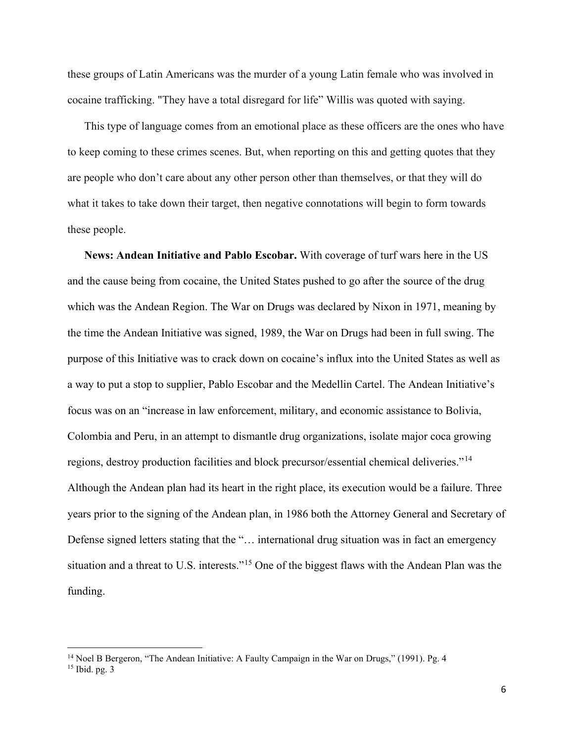these groups of Latin Americans was the murder of a young Latin female who was involved in cocaine trafficking. "They have a total disregard for life" Willis was quoted with saying.

This type of language comes from an emotional place as these officers are the ones who have to keep coming to these crimes scenes. But, when reporting on this and getting quotes that they are people who don't care about any other person other than themselves, or that they will do what it takes to take down their target, then negative connotations will begin to form towards these people.

**News: Andean Initiative and Pablo Escobar.** With coverage of turf wars here in the US and the cause being from cocaine, the United States pushed to go after the source of the drug which was the Andean Region. The War on Drugs was declared by Nixon in 1971, meaning by the time the Andean Initiative was signed, 1989, the War on Drugs had been in full swing. The purpose of this Initiative was to crack down on cocaine's influx into the United States as well as a way to put a stop to supplier, Pablo Escobar and the Medellin Cartel. The Andean Initiative's focus was on an "increase in law enforcement, military, and economic assistance to Bolivia, Colombia and Peru, in an attempt to dismantle drug organizations, isolate major coca growing regions, destroy production facilities and block precursor/essential chemical deliveries."[14](#page-6-0) Although the Andean plan had its heart in the right place, its execution would be a failure. Three years prior to the signing of the Andean plan, in 1986 both the Attorney General and Secretary of Defense signed letters stating that the "… international drug situation was in fact an emergency situation and a threat to U.S. interests."[15](#page-6-1) One of the biggest flaws with the Andean Plan was the funding.

<span id="page-6-0"></span><sup>&</sup>lt;sup>14</sup> Noel B Bergeron, "The Andean Initiative: A Faulty Campaign in the War on Drugs," (1991). Pg. 4

<span id="page-6-1"></span><sup>15</sup> Ibid. pg. 3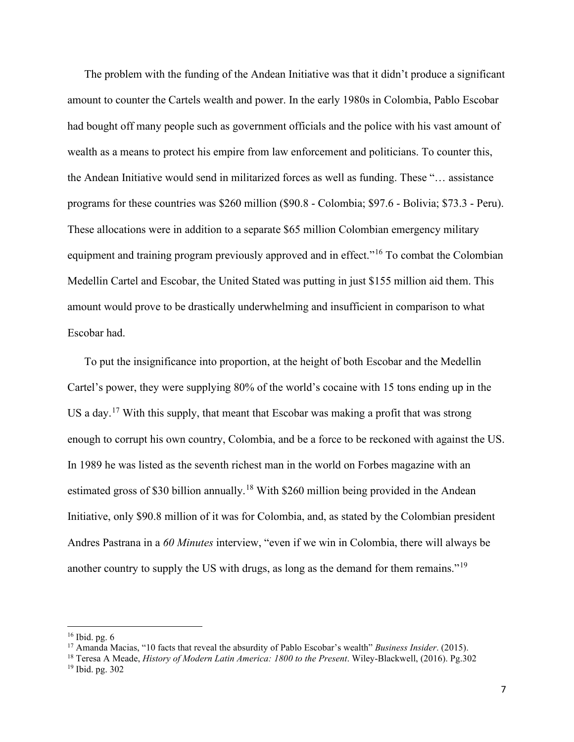The problem with the funding of the Andean Initiative was that it didn't produce a significant amount to counter the Cartels wealth and power. In the early 1980s in Colombia, Pablo Escobar had bought off many people such as government officials and the police with his vast amount of wealth as a means to protect his empire from law enforcement and politicians. To counter this, the Andean Initiative would send in militarized forces as well as funding. These "… assistance programs for these countries was \$260 million (\$90.8 - Colombia; \$97.6 - Bolivia; \$73.3 - Peru). These allocations were in addition to a separate \$65 million Colombian emergency military equipment and training program previously approved and in effect."<sup>[16](#page-7-0)</sup> To combat the Colombian Medellin Cartel and Escobar, the United Stated was putting in just \$155 million aid them. This amount would prove to be drastically underwhelming and insufficient in comparison to what Escobar had.

To put the insignificance into proportion, at the height of both Escobar and the Medellin Cartel's power, they were supplying 80% of the world's cocaine with 15 tons ending up in the US a day.<sup>[17](#page-7-1)</sup> With this supply, that meant that Escobar was making a profit that was strong enough to corrupt his own country, Colombia, and be a force to be reckoned with against the US. In 1989 he was listed as the seventh richest man in the world on Forbes magazine with an estimated gross of \$30 billion annually.<sup>[18](#page-7-2)</sup> With \$260 million being provided in the Andean Initiative, only \$90.8 million of it was for Colombia, and, as stated by the Colombian president Andres Pastrana in a *60 Minutes* interview, "even if we win in Colombia, there will always be another country to supply the US with drugs, as long as the demand for them remains."[19](#page-7-3)

<span id="page-7-0"></span> $16$  Ibid. pg.  $6$ 

<span id="page-7-1"></span><sup>17</sup> Amanda Macias, "10 facts that reveal the absurdity of Pablo Escobar's wealth" *Business Insider*. (2015).

<span id="page-7-3"></span><span id="page-7-2"></span><sup>18</sup> Teresa A Meade, *History of Modern Latin America: 1800 to the Present*. Wiley-Blackwell, (2016). Pg.302 <sup>19</sup> Ibid. pg. 302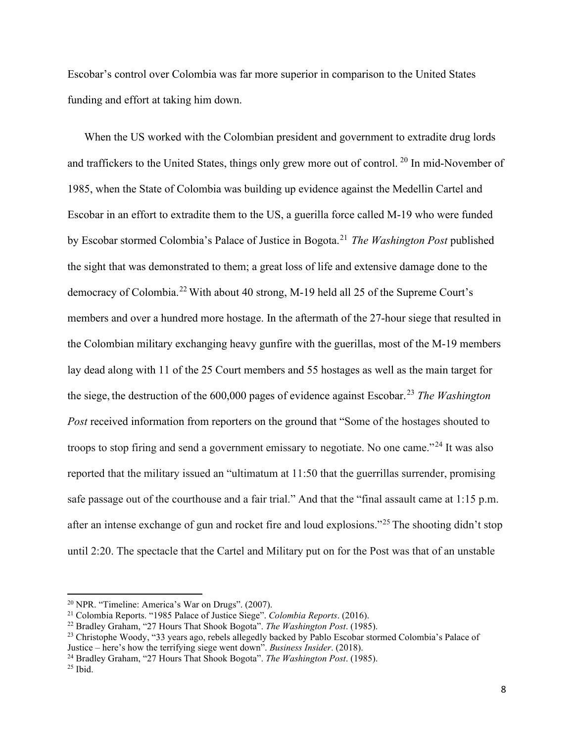Escobar's control over Colombia was far more superior in comparison to the United States funding and effort at taking him down.

When the US worked with the Colombian president and government to extradite drug lords and traffickers to the United States, things only grew more out of control.<sup>[20](#page-8-0)</sup> In mid-November of 1985, when the State of Colombia was building up evidence against the Medellin Cartel and Escobar in an effort to extradite them to the US, a guerilla force called M-19 who were funded by Escobar stormed Colombia's Palace of Justice in Bogota.[21](#page-8-1) *The Washington Post* published the sight that was demonstrated to them; a great loss of life and extensive damage done to the democracy of Colombia.<sup>[22](#page-8-2)</sup> With about 40 strong, M-19 held all 25 of the Supreme Court's members and over a hundred more hostage. In the aftermath of the 27-hour siege that resulted in the Colombian military exchanging heavy gunfire with the guerillas, most of the M-19 members lay dead along with 11 of the 25 Court members and 55 hostages as well as the main target for the siege, the destruction of the 600,000 pages of evidence against Escobar.[23](#page-8-3) *The Washington Post* received information from reporters on the ground that "Some of the hostages shouted to troops to stop firing and send a government emissary to negotiate. No one came."<sup>[24](#page-8-4)</sup> It was also reported that the military issued an "ultimatum at 11:50 that the guerrillas surrender, promising safe passage out of the courthouse and a fair trial." And that the "final assault came at 1:15 p.m. after an intense exchange of gun and rocket fire and loud explosions."[25](#page-8-5) The shooting didn't stop until 2:20. The spectacle that the Cartel and Military put on for the Post was that of an unstable

<span id="page-8-0"></span><sup>20</sup> NPR. "Timeline: America's War on Drugs". (2007).

<span id="page-8-1"></span><sup>21</sup> Colombia Reports. "1985 Palace of Justice Siege". *Colombia Reports*. (2016).

<span id="page-8-2"></span><sup>22</sup> Bradley Graham, "27 Hours That Shook Bogota". *The Washington Post*. (1985).

<span id="page-8-3"></span><sup>&</sup>lt;sup>23</sup> Christophe Woody, "33 years ago, rebels allegedly backed by Pablo Escobar stormed Colombia's Palace of Justice – here's how the terrifying siege went down". *Business Insider*. (2018).

<span id="page-8-4"></span><sup>24</sup> Bradley Graham, "27 Hours That Shook Bogota". *The Washington Post*. (1985).

<span id="page-8-5"></span> $25$  Ibid.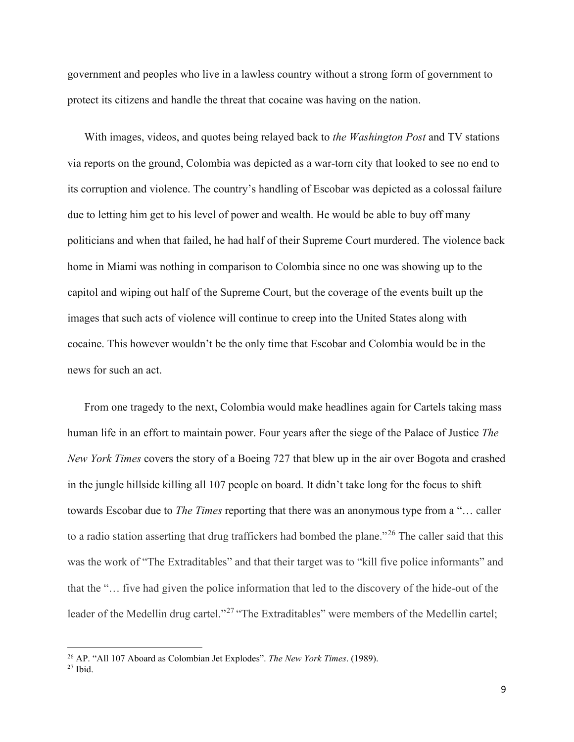government and peoples who live in a lawless country without a strong form of government to protect its citizens and handle the threat that cocaine was having on the nation.

With images, videos, and quotes being relayed back to *the Washington Post* and TV stations via reports on the ground, Colombia was depicted as a war-torn city that looked to see no end to its corruption and violence. The country's handling of Escobar was depicted as a colossal failure due to letting him get to his level of power and wealth. He would be able to buy off many politicians and when that failed, he had half of their Supreme Court murdered. The violence back home in Miami was nothing in comparison to Colombia since no one was showing up to the capitol and wiping out half of the Supreme Court, but the coverage of the events built up the images that such acts of violence will continue to creep into the United States along with cocaine. This however wouldn't be the only time that Escobar and Colombia would be in the news for such an act.

From one tragedy to the next, Colombia would make headlines again for Cartels taking mass human life in an effort to maintain power. Four years after the siege of the Palace of Justice *The New York Times* covers the story of a Boeing 727 that blew up in the air over Bogota and crashed in the jungle hillside killing all 107 people on board. It didn't take long for the focus to shift towards Escobar due to *The Times* reporting that there was an anonymous type from a "… caller to a radio station asserting that drug traffickers had bombed the plane."<sup>[26](#page-9-0)</sup> The caller said that this was the work of "The Extraditables" and that their target was to "kill five police informants" and that the "… five had given the police information that led to the discovery of the hide-out of the leader of the Medellin drug cartel."<sup>[27](#page-9-1)</sup> "The Extraditables" were members of the Medellin cartel;

<span id="page-9-1"></span><span id="page-9-0"></span><sup>26</sup> AP. "All 107 Aboard as Colombian Jet Explodes". *The New York Times*. (1989). 27 Ibid.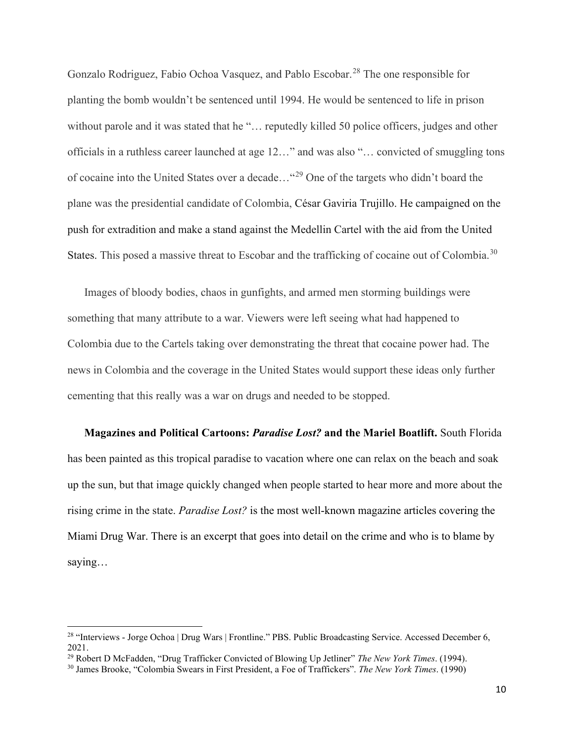Gonzalo Rodriguez, Fabio Ochoa Vasquez, and Pablo Escobar.<sup>28</sup> The one responsible for planting the bomb wouldn't be sentenced until 1994. He would be sentenced to life in prison without parole and it was stated that he "... reputedly killed 50 police officers, judges and other officials in a ruthless career launched at age 12…" and was also "… convicted of smuggling tons of cocaine into the United States over a decade…"[29](#page-10-1) One of the targets who didn't board the plane was the presidential candidate of Colombia, César Gaviria Trujillo. He campaigned on the push for extradition and make a stand against the Medellin Cartel with the aid from the United States. This posed a massive threat to Escobar and the trafficking of cocaine out of Colombia.<sup>[30](#page-10-2)</sup>

Images of bloody bodies, chaos in gunfights, and armed men storming buildings were something that many attribute to a war. Viewers were left seeing what had happened to Colombia due to the Cartels taking over demonstrating the threat that cocaine power had. The news in Colombia and the coverage in the United States would support these ideas only further cementing that this really was a war on drugs and needed to be stopped.

**Magazines and Political Cartoons:** *Paradise Lost?* **and the Mariel Boatlift.** South Florida has been painted as this tropical paradise to vacation where one can relax on the beach and soak up the sun, but that image quickly changed when people started to hear more and more about the rising crime in the state. *Paradise Lost?* is the most well-known magazine articles covering the Miami Drug War. There is an excerpt that goes into detail on the crime and who is to blame by saying…

<span id="page-10-0"></span><sup>&</sup>lt;sup>28</sup> "Interviews - Jorge Ochoa | Drug Wars | Frontline." PBS. Public Broadcasting Service. Accessed December 6, 2021.<br><sup>29</sup> Robert D McFadden, "Drug Trafficker Convicted of Blowing Up Jetliner" The New York Times. (1994).

<span id="page-10-1"></span>

<span id="page-10-2"></span><sup>&</sup>lt;sup>30</sup> James Brooke, "Colombia Swears in First President, a Foe of Traffickers". *The New York Times*. (1990)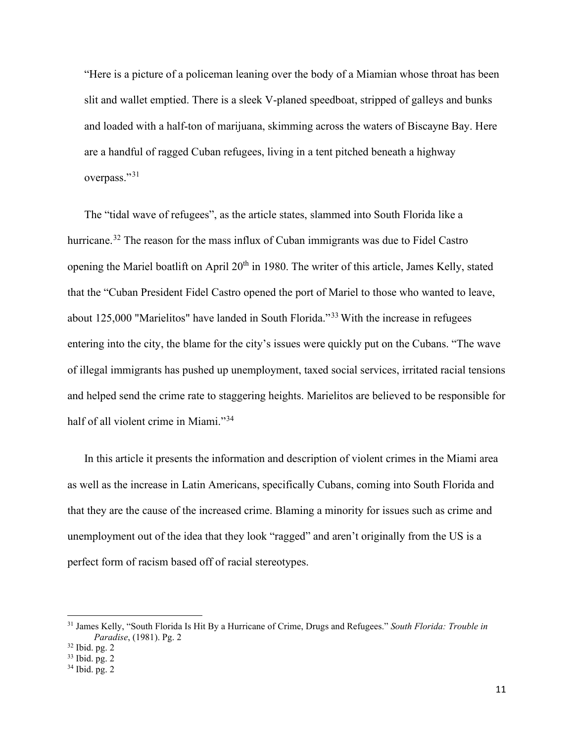"Here is a picture of a policeman leaning over the body of a Miamian whose throat has been slit and wallet emptied. There is a sleek V-planed speedboat, stripped of galleys and bunks and loaded with a half-ton of marijuana, skimming across the waters of Biscayne Bay. Here are a handful of ragged Cuban refugees, living in a tent pitched beneath a highway overpass."<sup>[31](#page-11-0)</sup>

The "tidal wave of refugees", as the article states, slammed into South Florida like a hurricane.<sup>[32](#page-11-1)</sup> The reason for the mass influx of Cuban immigrants was due to Fidel Castro opening the Mariel boatlift on April 20<sup>th</sup> in 1980. The writer of this article, James Kelly, stated that the "Cuban President Fidel Castro opened the port of Mariel to those who wanted to leave, about 125,000 "Marielitos" have landed in South Florida."[33](#page-11-2) With the increase in refugees entering into the city, the blame for the city's issues were quickly put on the Cubans. "The wave of illegal immigrants has pushed up unemployment, taxed social services, irritated racial tensions and helped send the crime rate to staggering heights. Marielitos are believed to be responsible for half of all violent crime in Miami."<sup>[34](#page-11-3)</sup>

In this article it presents the information and description of violent crimes in the Miami area as well as the increase in Latin Americans, specifically Cubans, coming into South Florida and that they are the cause of the increased crime. Blaming a minority for issues such as crime and unemployment out of the idea that they look "ragged" and aren't originally from the US is a perfect form of racism based off of racial stereotypes.

<span id="page-11-0"></span><sup>31</sup> James Kelly, "South Florida Is Hit By a Hurricane of Crime, Drugs and Refugees." *South Florida: Trouble in Paradise*, (1981). Pg. 2

<span id="page-11-1"></span><sup>32</sup> Ibid. pg. 2

<span id="page-11-2"></span><sup>33</sup> Ibid. pg. 2

<span id="page-11-3"></span><sup>34</sup> Ibid. pg. 2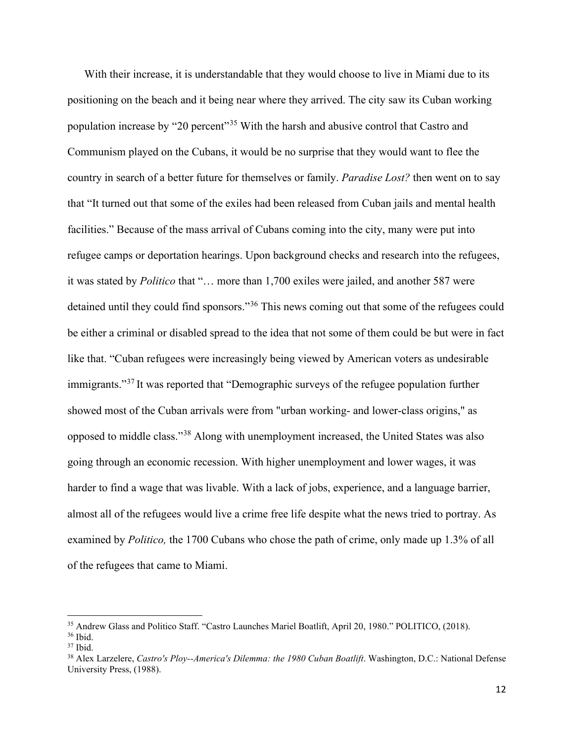With their increase, it is understandable that they would choose to live in Miami due to its positioning on the beach and it being near where they arrived. The city saw its Cuban working population increase by "20 percent"[35](#page-12-0) With the harsh and abusive control that Castro and Communism played on the Cubans, it would be no surprise that they would want to flee the country in search of a better future for themselves or family. *Paradise Lost?* then went on to say that "It turned out that some of the exiles had been released from Cuban jails and mental health facilities." Because of the mass arrival of Cubans coming into the city, many were put into refugee camps or deportation hearings. Upon background checks and research into the refugees, it was stated by *Politico* that "… more than 1,700 exiles were jailed, and another 587 were detained until they could find sponsors."<sup>[36](#page-12-1)</sup> This news coming out that some of the refugees could be either a criminal or disabled spread to the idea that not some of them could be but were in fact like that. "Cuban refugees were increasingly being viewed by American voters as undesirable immigrants."[37](#page-12-2) It was reported that "Demographic surveys of the refugee population further showed most of the Cuban arrivals were from "urban working- and lower-class origins," as opposed to middle class."[38](#page-12-3) Along with unemployment increased, the United States was also going through an economic recession. With higher unemployment and lower wages, it was harder to find a wage that was livable. With a lack of jobs, experience, and a language barrier, almost all of the refugees would live a crime free life despite what the news tried to portray. As examined by *Politico,* the 1700 Cubans who chose the path of crime, only made up 1.3% of all of the refugees that came to Miami.

<span id="page-12-0"></span><sup>&</sup>lt;sup>35</sup> Andrew Glass and Politico Staff. "Castro Launches Mariel Boatlift, April 20, 1980." POLITICO, (2018).<br><sup>36</sup> Ibid.<br><sup>37</sup> Ibid.

<span id="page-12-1"></span>

<span id="page-12-2"></span>

<span id="page-12-3"></span><sup>&</sup>lt;sup>38</sup> Alex Larzelere, *Castro's Ploy--America's Dilemma: the 1980 Cuban Boatlift*. Washington, D.C.: National Defense University Press, (1988).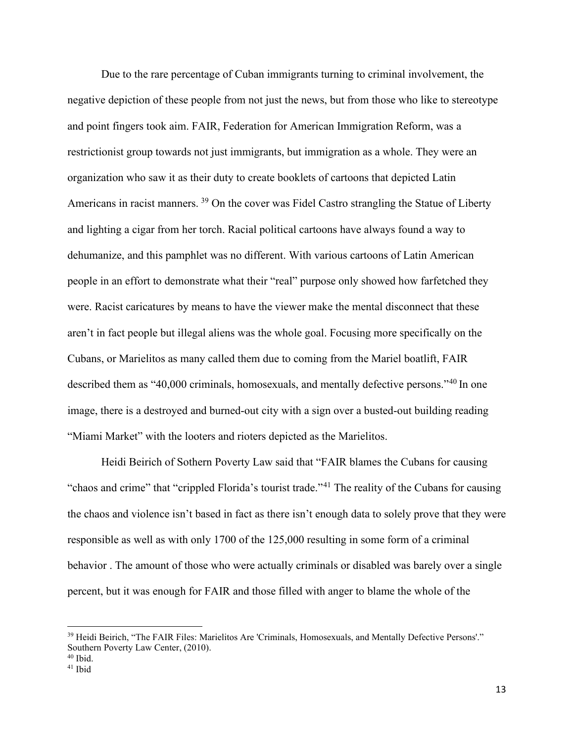Due to the rare percentage of Cuban immigrants turning to criminal involvement, the negative depiction of these people from not just the news, but from those who like to stereotype and point fingers took aim. FAIR, Federation for American Immigration Reform, was a restrictionist group towards not just immigrants, but immigration as a whole. They were an organization who saw it as their duty to create booklets of cartoons that depicted Latin Americans in racist manners. <sup>39</sup> On the cover was Fidel Castro strangling the Statue of Liberty and lighting a cigar from her torch. Racial political cartoons have always found a way to dehumanize, and this pamphlet was no different. With various cartoons of Latin American people in an effort to demonstrate what their "real" purpose only showed how farfetched they were. Racist caricatures by means to have the viewer make the mental disconnect that these aren't in fact people but illegal aliens was the whole goal. Focusing more specifically on the Cubans, or Marielitos as many called them due to coming from the Mariel boatlift, FAIR described them as "[40](#page-13-1),000 criminals, homosexuals, and mentally defective persons."<sup>40</sup> In one image, there is a destroyed and burned-out city with a sign over a busted-out building reading "Miami Market" with the looters and rioters depicted as the Marielitos.

Heidi Beirich of Sothern Poverty Law said that "FAIR blames the Cubans for causing "chaos and crime" that "crippled Florida's tourist trade."<sup>[41](#page-13-2)</sup> The reality of the Cubans for causing the chaos and violence isn't based in fact as there isn't enough data to solely prove that they were responsible as well as with only 1700 of the 125,000 resulting in some form of a criminal behavior . The amount of those who were actually criminals or disabled was barely over a single percent, but it was enough for FAIR and those filled with anger to blame the whole of the

<span id="page-13-0"></span><sup>39</sup> Heidi Beirich, "The FAIR Files: Marielitos Are 'Criminals, Homosexuals, and Mentally Defective Persons'." Southern Poverty Law Center, (2010).<br><sup>40</sup> Ibid.

<span id="page-13-1"></span>

<span id="page-13-2"></span><sup>41</sup> Ibid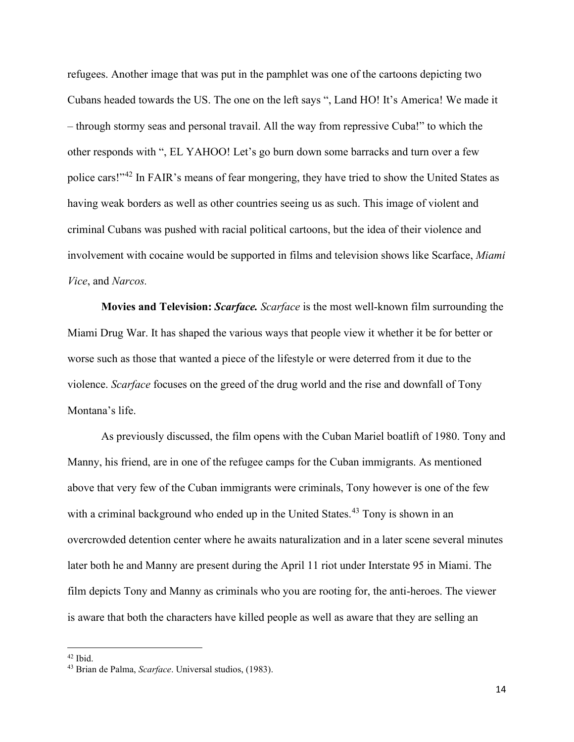refugees. Another image that was put in the pamphlet was one of the cartoons depicting two Cubans headed towards the US. The one on the left says ", Land HO! It's America! We made it – through stormy seas and personal travail. All the way from repressive Cuba!" to which the other responds with ", EL YAHOO! Let's go burn down some barracks and turn over a few police cars!"[42](#page-14-0) In FAIR's means of fear mongering, they have tried to show the United States as having weak borders as well as other countries seeing us as such. This image of violent and criminal Cubans was pushed with racial political cartoons, but the idea of their violence and involvement with cocaine would be supported in films and television shows like Scarface, *Miami Vice*, and *Narcos.*

**Movies and Television:** *Scarface. Scarface* is the most well-known film surrounding the Miami Drug War. It has shaped the various ways that people view it whether it be for better or worse such as those that wanted a piece of the lifestyle or were deterred from it due to the violence. *Scarface* focuses on the greed of the drug world and the rise and downfall of Tony Montana's life.

As previously discussed, the film opens with the Cuban Mariel boatlift of 1980. Tony and Manny, his friend, are in one of the refugee camps for the Cuban immigrants. As mentioned above that very few of the Cuban immigrants were criminals, Tony however is one of the few with a criminal background who ended up in the United States.<sup>43</sup> Tony is shown in an overcrowded detention center where he awaits naturalization and in a later scene several minutes later both he and Manny are present during the April 11 riot under Interstate 95 in Miami. The film depicts Tony and Manny as criminals who you are rooting for, the anti-heroes. The viewer is aware that both the characters have killed people as well as aware that they are selling an

<span id="page-14-0"></span><sup>42</sup> Ibid.

<span id="page-14-1"></span><sup>43</sup> Brian de Palma, *Scarface*. Universal studios, (1983).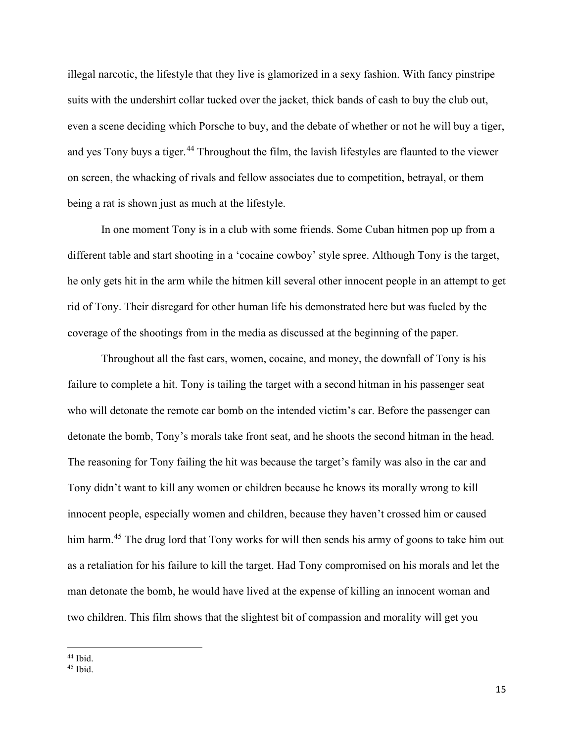illegal narcotic, the lifestyle that they live is glamorized in a sexy fashion. With fancy pinstripe suits with the undershirt collar tucked over the jacket, thick bands of cash to buy the club out, even a scene deciding which Porsche to buy, and the debate of whether or not he will buy a tiger, and yes Tony buys a tiger.<sup>[44](#page-15-0)</sup> Throughout the film, the lavish lifestyles are flaunted to the viewer on screen, the whacking of rivals and fellow associates due to competition, betrayal, or them being a rat is shown just as much at the lifestyle.

In one moment Tony is in a club with some friends. Some Cuban hitmen pop up from a different table and start shooting in a 'cocaine cowboy' style spree. Although Tony is the target, he only gets hit in the arm while the hitmen kill several other innocent people in an attempt to get rid of Tony. Their disregard for other human life his demonstrated here but was fueled by the coverage of the shootings from in the media as discussed at the beginning of the paper.

Throughout all the fast cars, women, cocaine, and money, the downfall of Tony is his failure to complete a hit. Tony is tailing the target with a second hitman in his passenger seat who will detonate the remote car bomb on the intended victim's car. Before the passenger can detonate the bomb, Tony's morals take front seat, and he shoots the second hitman in the head. The reasoning for Tony failing the hit was because the target's family was also in the car and Tony didn't want to kill any women or children because he knows its morally wrong to kill innocent people, especially women and children, because they haven't crossed him or caused him harm.<sup>45</sup> The drug lord that Tony works for will then sends his army of goons to take him out as a retaliation for his failure to kill the target. Had Tony compromised on his morals and let the man detonate the bomb, he would have lived at the expense of killing an innocent woman and two children. This film shows that the slightest bit of compassion and morality will get you

<sup>44</sup> Ibid.

<span id="page-15-1"></span><span id="page-15-0"></span><sup>45</sup> Ibid.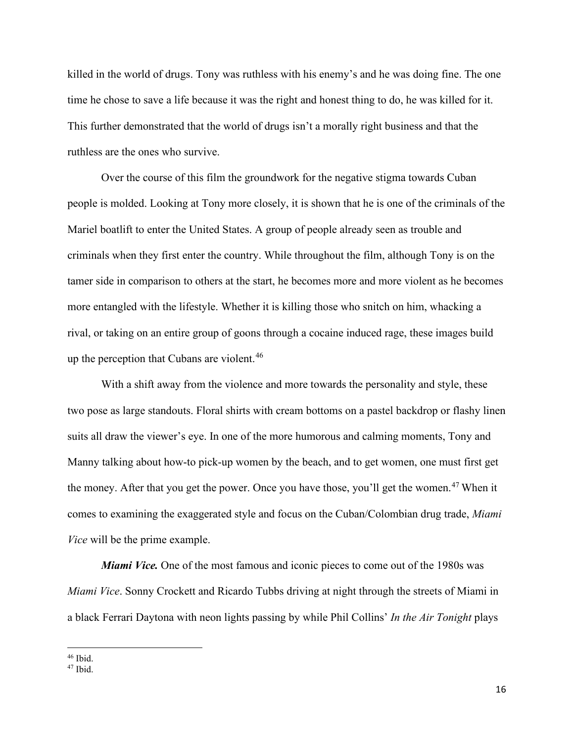killed in the world of drugs. Tony was ruthless with his enemy's and he was doing fine. The one time he chose to save a life because it was the right and honest thing to do, he was killed for it. This further demonstrated that the world of drugs isn't a morally right business and that the ruthless are the ones who survive.

Over the course of this film the groundwork for the negative stigma towards Cuban people is molded. Looking at Tony more closely, it is shown that he is one of the criminals of the Mariel boatlift to enter the United States. A group of people already seen as trouble and criminals when they first enter the country. While throughout the film, although Tony is on the tamer side in comparison to others at the start, he becomes more and more violent as he becomes more entangled with the lifestyle. Whether it is killing those who snitch on him, whacking a rival, or taking on an entire group of goons through a cocaine induced rage, these images build up the perception that Cubans are violent.<sup>46</sup>

With a shift away from the violence and more towards the personality and style, these two pose as large standouts. Floral shirts with cream bottoms on a pastel backdrop or flashy linen suits all draw the viewer's eye. In one of the more humorous and calming moments, Tony and Manny talking about how-to pick-up women by the beach, and to get women, one must first get the money. After that you get the power. Once you have those, you'll get the women.<sup>[47](#page-16-1)</sup> When it comes to examining the exaggerated style and focus on the Cuban/Colombian drug trade, *Miami Vice* will be the prime example.

*Miami Vice.* One of the most famous and iconic pieces to come out of the 1980s was *Miami Vice*. Sonny Crockett and Ricardo Tubbs driving at night through the streets of Miami in a black Ferrari Daytona with neon lights passing by while Phil Collins' *In the Air Tonight* plays

<span id="page-16-0"></span> $46$  Ibid.

<span id="page-16-1"></span> $47$  Ibid.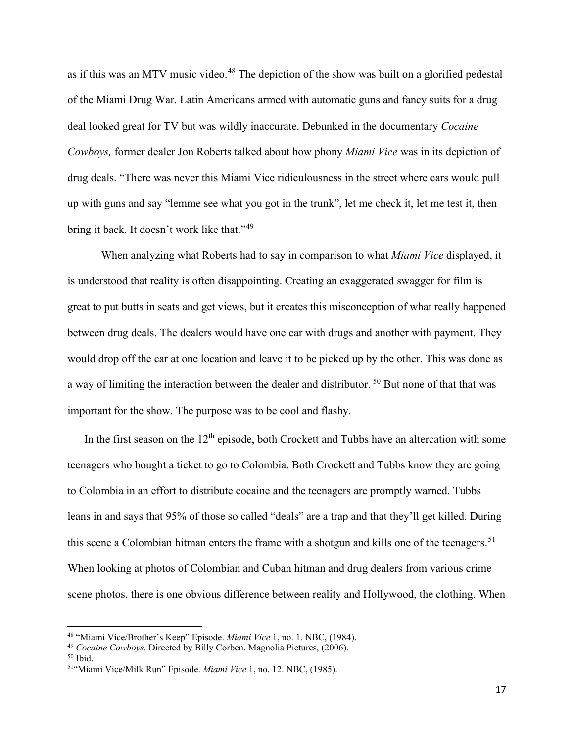as if this was an MTV music video.<sup>[48](#page-17-0)</sup> The depiction of the show was built on a glorified pedestal of the Miami Drug War. Latin Americans armed with automatic guns and fancy suits for a drug deal looked great for TV but was wildly inaccurate. Debunked in the documentary *Cocaine Cowboys,* former dealer Jon Roberts talked about how phony *Miami Vice* was in its depiction of drug deals. "There was never this Miami Vice ridiculousness in the street where cars would pull up with guns and say "lemme see what you got in the trunk", let me check it, let me test it, then bring it back. It doesn't work like that."<sup>49</sup>

When analyzing what Roberts had to say in comparison to what *Miami Vice* displayed, it is understood that reality is often disappointing. Creating an exaggerated swagger for film is great to put butts in seats and get views, but it creates this misconception of what really happened between drug deals. The dealers would have one car with drugs and another with payment. They would drop off the car at one location and leave it to be picked up by the other. This was done as a way of limiting the interaction between the dealer and distributor. [50](#page-17-2) But none of that that was important for the show. The purpose was to be cool and flashy.

In the first season on the  $12<sup>th</sup>$  episode, both Crockett and Tubbs have an altercation with some teenagers who bought a ticket to go to Colombia. Both Crockett and Tubbs know they are going to Colombia in an effort to distribute cocaine and the teenagers are promptly warned. Tubbs leans in and says that 95% of those so called "deals" are a trap and that they'll get killed. During this scene a Colombian hitman enters the frame with a shotgun and kills one of the teenagers.<sup>[51](#page-17-3)</sup> When looking at photos of Colombian and Cuban hitman and drug dealers from various crime scene photos, there is one obvious difference between reality and Hollywood, the clothing. When

<span id="page-17-0"></span><sup>48</sup> "Miami Vice/Brother's Keep" Episode. *Miami Vice* 1, no. 1. NBC, (1984).

<span id="page-17-1"></span><sup>&</sup>lt;sup>49</sup> *Cocaine Cowboys*. Directed by Billy Corben. Magnolia Pictures, (2006). <sup>50</sup> Ibid.

<span id="page-17-2"></span>

<span id="page-17-3"></span><sup>51&</sup>quot;Miami Vice/Milk Run" Episode. *Miami Vice* 1, no. 12. NBC, (1985).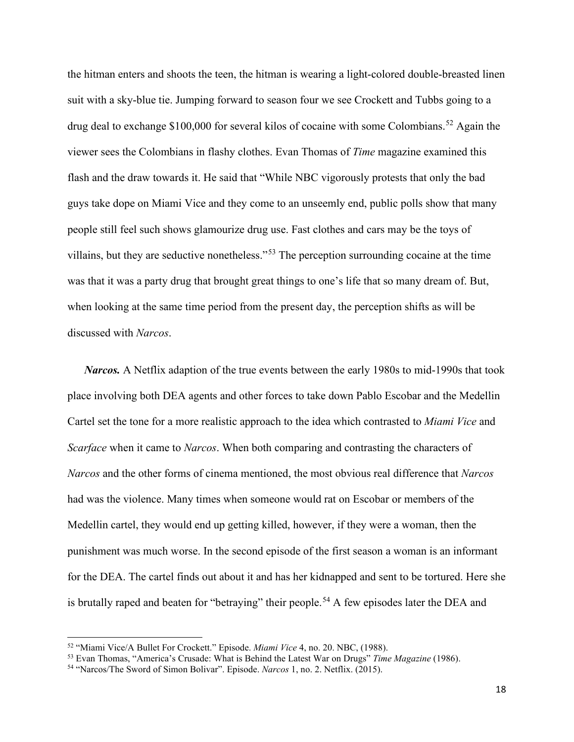the hitman enters and shoots the teen, the hitman is wearing a light-colored double-breasted linen suit with a sky-blue tie. Jumping forward to season four we see Crockett and Tubbs going to a drug deal to exchange  $$100,000$  for several kilos of cocaine with some Colombians.<sup>52</sup> Again the viewer sees the Colombians in flashy clothes. Evan Thomas of *Time* magazine examined this flash and the draw towards it. He said that "While NBC vigorously protests that only the bad guys take dope on Miami Vice and they come to an unseemly end, public polls show that many people still feel such shows glamourize drug use. Fast clothes and cars may be the toys of villains, but they are seductive nonetheless."[53](#page-18-1) The perception surrounding cocaine at the time was that it was a party drug that brought great things to one's life that so many dream of. But, when looking at the same time period from the present day, the perception shifts as will be discussed with *Narcos*.

*Narcos.* A Netflix adaption of the true events between the early 1980s to mid-1990s that took place involving both DEA agents and other forces to take down Pablo Escobar and the Medellin Cartel set the tone for a more realistic approach to the idea which contrasted to *Miami Vice* and *Scarface* when it came to *Narcos*. When both comparing and contrasting the characters of *Narcos* and the other forms of cinema mentioned, the most obvious real difference that *Narcos*  had was the violence. Many times when someone would rat on Escobar or members of the Medellin cartel, they would end up getting killed, however, if they were a woman, then the punishment was much worse. In the second episode of the first season a woman is an informant for the DEA. The cartel finds out about it and has her kidnapped and sent to be tortured. Here she is brutally raped and beaten for "betraying" their people.<sup>[54](#page-18-2)</sup> A few episodes later the DEA and

18

<span id="page-18-1"></span><span id="page-18-0"></span><sup>52</sup> "Miami Vice/A Bullet For Crockett." Episode. *Miami Vice* 4, no. 20. NBC, (1988). 53 Evan Thomas, "America's Crusade: What is Behind the Latest War on Drugs" *Time Magazine* (1986).

<span id="page-18-2"></span><sup>54</sup> "Narcos/The Sword of Simon Bolivar". Episode. *Narcos* 1, no. 2. Netflix. (2015).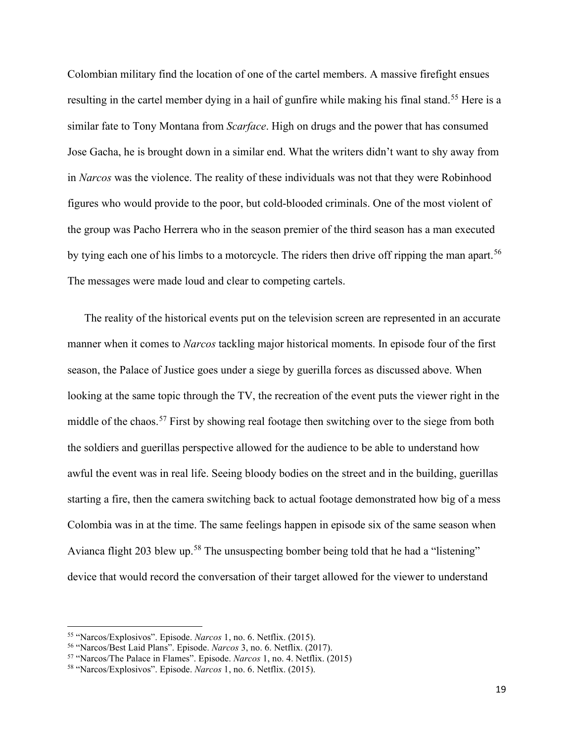Colombian military find the location of one of the cartel members. A massive firefight ensues resulting in the cartel member dying in a hail of gunfire while making his final stand.<sup>[55](#page-19-0)</sup> Here is a similar fate to Tony Montana from *Scarface*. High on drugs and the power that has consumed Jose Gacha, he is brought down in a similar end. What the writers didn't want to shy away from in *Narcos* was the violence. The reality of these individuals was not that they were Robinhood figures who would provide to the poor, but cold-blooded criminals. One of the most violent of the group was Pacho Herrera who in the season premier of the third season has a man executed by tying each one of his limbs to a motorcycle. The riders then drive off ripping the man apart.<sup>[56](#page-19-1)</sup> The messages were made loud and clear to competing cartels.

The reality of the historical events put on the television screen are represented in an accurate manner when it comes to *Narcos* tackling major historical moments. In episode four of the first season, the Palace of Justice goes under a siege by guerilla forces as discussed above. When looking at the same topic through the TV, the recreation of the event puts the viewer right in the middle of the chaos.<sup>57</sup> First by showing real footage then switching over to the siege from both the soldiers and guerillas perspective allowed for the audience to be able to understand how awful the event was in real life. Seeing bloody bodies on the street and in the building, guerillas starting a fire, then the camera switching back to actual footage demonstrated how big of a mess Colombia was in at the time. The same feelings happen in episode six of the same season when Avianca flight 203 blew up.<sup>[58](#page-19-3)</sup> The unsuspecting bomber being told that he had a "listening" device that would record the conversation of their target allowed for the viewer to understand

<span id="page-19-0"></span><sup>55</sup> "Narcos/Explosivos". Episode. *Narcos* 1, no. 6. Netflix. (2015).

<span id="page-19-2"></span><span id="page-19-1"></span>

<sup>&</sup>lt;sup>57</sup> "Narcos/The Palace in Flames". Episode. *Narcos* 1, no. 4. Netflix. (2015).

<span id="page-19-3"></span><sup>58</sup> "Narcos/Explosivos". Episode. *Narcos* 1, no. 6. Netflix. (2015).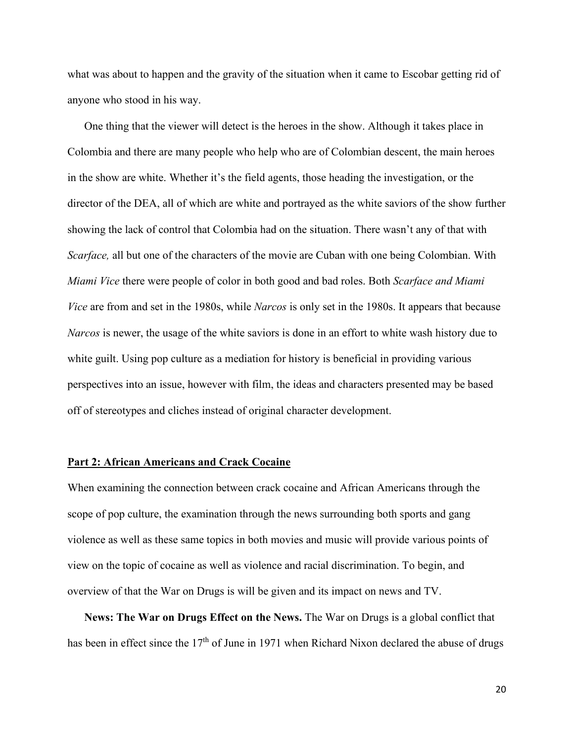what was about to happen and the gravity of the situation when it came to Escobar getting rid of anyone who stood in his way.

One thing that the viewer will detect is the heroes in the show. Although it takes place in Colombia and there are many people who help who are of Colombian descent, the main heroes in the show are white. Whether it's the field agents, those heading the investigation, or the director of the DEA, all of which are white and portrayed as the white saviors of the show further showing the lack of control that Colombia had on the situation. There wasn't any of that with *Scarface,* all but one of the characters of the movie are Cuban with one being Colombian. With *Miami Vice* there were people of color in both good and bad roles. Both *Scarface and Miami Vice* are from and set in the 1980s, while *Narcos* is only set in the 1980s. It appears that because *Narcos* is newer, the usage of the white saviors is done in an effort to white wash history due to white guilt. Using pop culture as a mediation for history is beneficial in providing various perspectives into an issue, however with film, the ideas and characters presented may be based off of stereotypes and cliches instead of original character development.

### **Part 2: African Americans and Crack Cocaine**

When examining the connection between crack cocaine and African Americans through the scope of pop culture, the examination through the news surrounding both sports and gang violence as well as these same topics in both movies and music will provide various points of view on the topic of cocaine as well as violence and racial discrimination. To begin, and overview of that the War on Drugs is will be given and its impact on news and TV.

**News: The War on Drugs Effect on the News.** The War on Drugs is a global conflict that has been in effect since the 17<sup>th</sup> of June in 1971 when Richard Nixon declared the abuse of drugs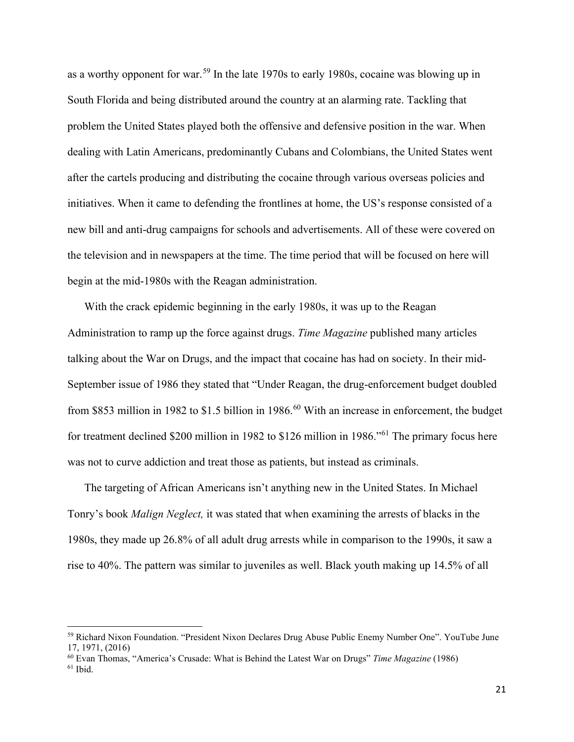as a worthy opponent for war.<sup>[59](#page-21-0)</sup> In the late 1970s to early 1980s, cocaine was blowing up in South Florida and being distributed around the country at an alarming rate. Tackling that problem the United States played both the offensive and defensive position in the war. When dealing with Latin Americans, predominantly Cubans and Colombians, the United States went after the cartels producing and distributing the cocaine through various overseas policies and initiatives. When it came to defending the frontlines at home, the US's response consisted of a new bill and anti-drug campaigns for schools and advertisements. All of these were covered on the television and in newspapers at the time. The time period that will be focused on here will begin at the mid-1980s with the Reagan administration.

With the crack epidemic beginning in the early 1980s, it was up to the Reagan Administration to ramp up the force against drugs. *Time Magazine* published many articles talking about the War on Drugs, and the impact that cocaine has had on society. In their mid-September issue of 1986 they stated that "Under Reagan, the drug-enforcement budget doubled from \$853 million in 1982 to \$1.5 billion in 1986.<sup>[60](#page-21-1)</sup> With an increase in enforcement, the budget for treatment declined \$200 million in 1982 to \$126 million in 1986."[61](#page-21-2) The primary focus here was not to curve addiction and treat those as patients, but instead as criminals.

The targeting of African Americans isn't anything new in the United States. In Michael Tonry's book *Malign Neglect,* it was stated that when examining the arrests of blacks in the 1980s, they made up 26.8% of all adult drug arrests while in comparison to the 1990s, it saw a rise to 40%. The pattern was similar to juveniles as well. Black youth making up 14.5% of all

<span id="page-21-0"></span><sup>59</sup> Richard Nixon Foundation. "President Nixon Declares Drug Abuse Public Enemy Number One". YouTube June 17, 1971, (2016)

<span id="page-21-2"></span><span id="page-21-1"></span><sup>60</sup> Evan Thomas, "America's Crusade: What is Behind the Latest War on Drugs" *Time Magazine* (1986)  $61$  Ibid.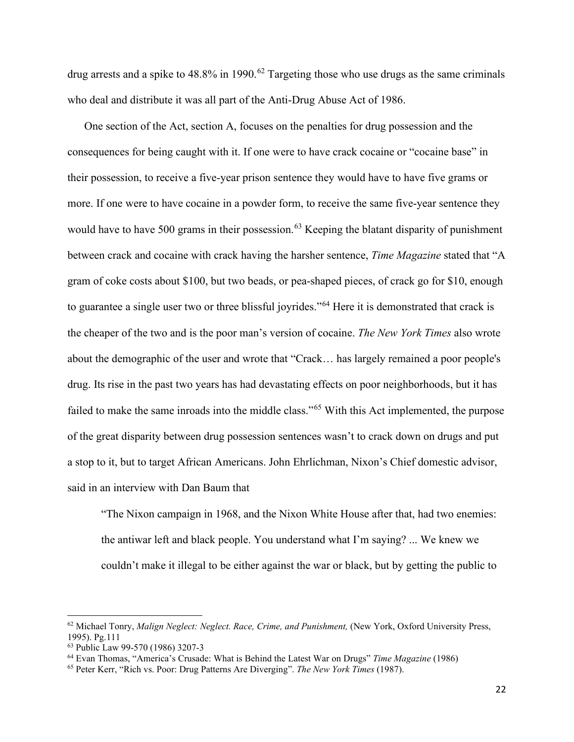drug arrests and a spike to  $48.8\%$  in 1990.<sup>62</sup> Targeting those who use drugs as the same criminals who deal and distribute it was all part of the Anti-Drug Abuse Act of 1986.

One section of the Act, section A, focuses on the penalties for drug possession and the consequences for being caught with it. If one were to have crack cocaine or "cocaine base" in their possession, to receive a five-year prison sentence they would have to have five grams or more. If one were to have cocaine in a powder form, to receive the same five-year sentence they would have to have 500 grams in their possession.<sup>[63](#page-22-1)</sup> Keeping the blatant disparity of punishment between crack and cocaine with crack having the harsher sentence, *Time Magazine* stated that "A gram of coke costs about \$100, but two beads, or pea-shaped pieces, of crack go for \$10, enough to guarantee a single user two or three blissful joyrides."[64](#page-22-2) Here it is demonstrated that crack is the cheaper of the two and is the poor man's version of cocaine. *The New York Times* also wrote about the demographic of the user and wrote that "Crack… has largely remained a poor people's drug. Its rise in the past two years has had devastating effects on poor neighborhoods, but it has failed to make the same inroads into the middle class."[65](#page-22-3) With this Act implemented, the purpose of the great disparity between drug possession sentences wasn't to crack down on drugs and put a stop to it, but to target African Americans. John Ehrlichman, Nixon's Chief domestic advisor, said in an interview with Dan Baum that

"The Nixon campaign in 1968, and the Nixon White House after that, had two enemies: the antiwar left and black people. You understand what I'm saying? ... We knew we couldn't make it illegal to be either against the war or black, but by getting the public to

<span id="page-22-0"></span><sup>62</sup> Michael Tonry, *Malign Neglect: Neglect. Race, Crime, and Punishment,* (New York, Oxford University Press, 1995). Pg.111<br><sup>63</sup> Public Law 99-570 (1986) 3207-3

<span id="page-22-3"></span><span id="page-22-2"></span><span id="page-22-1"></span> $^{64}$  Evan Thomas, "America's Crusade: What is Behind the Latest War on Drugs" Time Magazine (1986)  $^{65}$  Peter Kerr, "Rich vs. Poor: Drug Patterns Are Diverging". The New York Times (1987).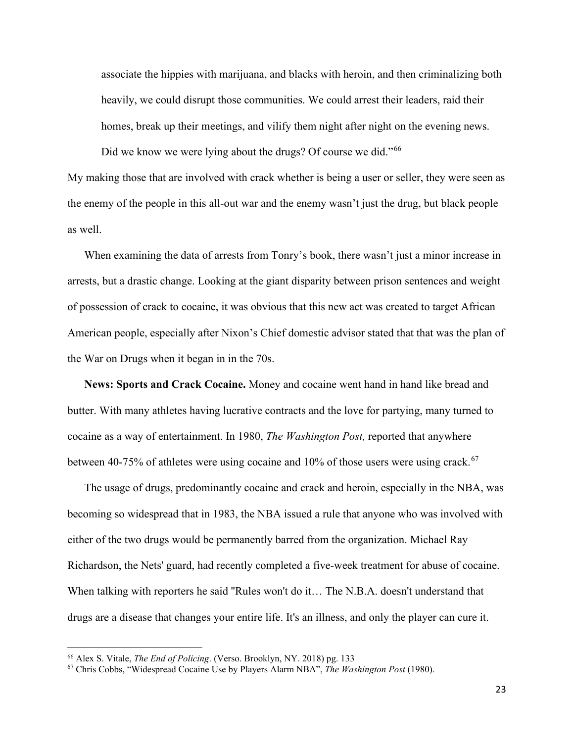associate the hippies with marijuana, and blacks with heroin, and then criminalizing both heavily, we could disrupt those communities. We could arrest their leaders, raid their homes, break up their meetings, and vilify them night after night on the evening news.

Did we know we were lying about the drugs? Of course we did."<sup>[66](#page-23-0)</sup>

My making those that are involved with crack whether is being a user or seller, they were seen as the enemy of the people in this all-out war and the enemy wasn't just the drug, but black people as well.

When examining the data of arrests from Tonry's book, there wasn't just a minor increase in arrests, but a drastic change. Looking at the giant disparity between prison sentences and weight of possession of crack to cocaine, it was obvious that this new act was created to target African American people, especially after Nixon's Chief domestic advisor stated that that was the plan of the War on Drugs when it began in in the 70s.

**News: Sports and Crack Cocaine.** Money and cocaine went hand in hand like bread and butter. With many athletes having lucrative contracts and the love for partying, many turned to cocaine as a way of entertainment. In 1980, *The Washington Post,* reported that anywhere between 40-75% of athletes were using cocaine and  $10\%$  of those users were using crack.<sup>67</sup>

The usage of drugs, predominantly cocaine and crack and heroin, especially in the NBA, was becoming so widespread that in 1983, the NBA issued a rule that anyone who was involved with either of the two drugs would be permanently barred from the organization. Michael Ray Richardson, the Nets' guard, had recently completed a five-week treatment for abuse of cocaine. When talking with reporters he said "Rules won't do it... The N.B.A. doesn't understand that drugs are a disease that changes your entire life. It's an illness, and only the player can cure it.

<span id="page-23-0"></span><sup>66</sup> Alex S. Vitale, *The End of Policing*. (Verso. Brooklyn, NY. 2018) pg. 133

<span id="page-23-1"></span><sup>67</sup> Chris Cobbs, "Widespread Cocaine Use by Players Alarm NBA", *The Washington Post* (1980).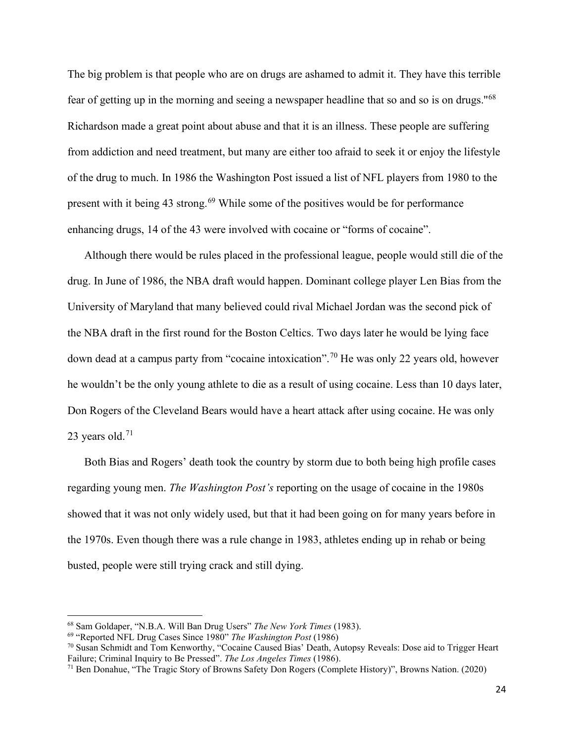The big problem is that people who are on drugs are ashamed to admit it. They have this terrible fear of getting up in the morning and seeing a newspaper headline that so and so is on drugs.''[68](#page-24-0) Richardson made a great point about abuse and that it is an illness. These people are suffering from addiction and need treatment, but many are either too afraid to seek it or enjoy the lifestyle of the drug to much. In 1986 the Washington Post issued a list of NFL players from 1980 to the present with it being 43 strong.<sup>[69](#page-24-1)</sup> While some of the positives would be for performance enhancing drugs, 14 of the 43 were involved with cocaine or "forms of cocaine".

Although there would be rules placed in the professional league, people would still die of the drug. In June of 1986, the NBA draft would happen. Dominant college player Len Bias from the University of Maryland that many believed could rival Michael Jordan was the second pick of the NBA draft in the first round for the Boston Celtics. Two days later he would be lying face down dead at a campus party from "cocaine intoxication".<sup>[70](#page-24-2)</sup> He was only 22 years old, however he wouldn't be the only young athlete to die as a result of using cocaine. Less than 10 days later, Don Rogers of the Cleveland Bears would have a heart attack after using cocaine. He was only 23 years old. $71$ 

Both Bias and Rogers' death took the country by storm due to both being high profile cases regarding young men. *The Washington Post's* reporting on the usage of cocaine in the 1980s showed that it was not only widely used, but that it had been going on for many years before in the 1970s. Even though there was a rule change in 1983, athletes ending up in rehab or being busted, people were still trying crack and still dying.

<span id="page-24-0"></span><sup>68</sup> Sam Goldaper, "N.B.A. Will Ban Drug Users" *The New York Times* (1983).

<span id="page-24-1"></span><sup>69</sup> "Reported NFL Drug Cases Since 1980" *The Washington Post* (1986)

<span id="page-24-2"></span><sup>70</sup> Susan Schmidt and Tom Kenworthy, "Cocaine Caused Bias' Death, Autopsy Reveals: Dose aid to Trigger Heart Failure; Criminal Inquiry to Be Pressed". *The Los Angeles Times* (1986).

<span id="page-24-3"></span><sup>71</sup> Ben Donahue, "The Tragic Story of Browns Safety Don Rogers (Complete History)", Browns Nation. (2020)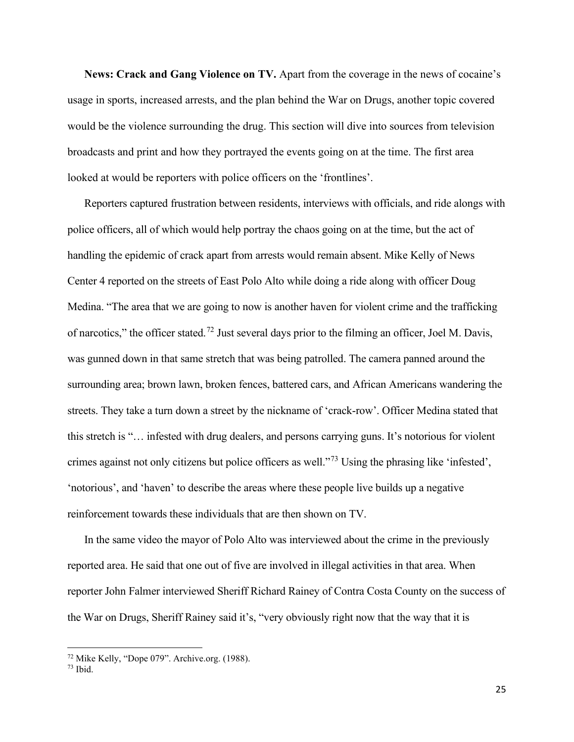**News: Crack and Gang Violence on TV.** Apart from the coverage in the news of cocaine's usage in sports, increased arrests, and the plan behind the War on Drugs, another topic covered would be the violence surrounding the drug. This section will dive into sources from television broadcasts and print and how they portrayed the events going on at the time. The first area looked at would be reporters with police officers on the 'frontlines'.

Reporters captured frustration between residents, interviews with officials, and ride alongs with police officers, all of which would help portray the chaos going on at the time, but the act of handling the epidemic of crack apart from arrests would remain absent. Mike Kelly of News Center 4 reported on the streets of East Polo Alto while doing a ride along with officer Doug Medina. "The area that we are going to now is another haven for violent crime and the trafficking of narcotics," the officer stated.[72](#page-25-0) Just several days prior to the filming an officer, Joel M. Davis, was gunned down in that same stretch that was being patrolled. The camera panned around the surrounding area; brown lawn, broken fences, battered cars, and African Americans wandering the streets. They take a turn down a street by the nickname of 'crack-row'. Officer Medina stated that this stretch is "… infested with drug dealers, and persons carrying guns. It's notorious for violent crimes against not only citizens but police officers as well."[73](#page-25-1) Using the phrasing like 'infested', 'notorious', and 'haven' to describe the areas where these people live builds up a negative reinforcement towards these individuals that are then shown on TV.

In the same video the mayor of Polo Alto was interviewed about the crime in the previously reported area. He said that one out of five are involved in illegal activities in that area. When reporter John Falmer interviewed Sheriff Richard Rainey of Contra Costa County on the success of the War on Drugs, Sheriff Rainey said it's, "very obviously right now that the way that it is

<span id="page-25-0"></span> $^{72}$  Mike Kelly, "Dope 079". Archive.org. (1988).  $^{73}$  Ibid.

<span id="page-25-1"></span>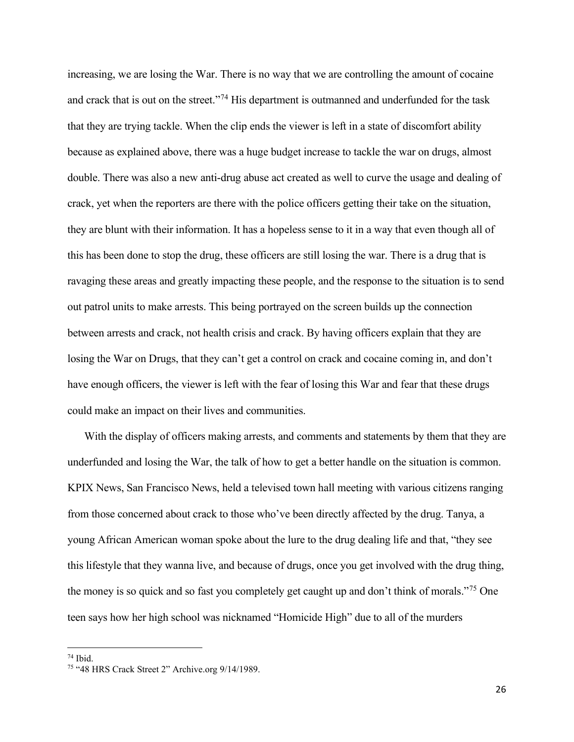increasing, we are losing the War. There is no way that we are controlling the amount of cocaine and crack that is out on the street."<sup>[74](#page-26-0)</sup> His department is outmanned and underfunded for the task that they are trying tackle. When the clip ends the viewer is left in a state of discomfort ability because as explained above, there was a huge budget increase to tackle the war on drugs, almost double. There was also a new anti-drug abuse act created as well to curve the usage and dealing of crack, yet when the reporters are there with the police officers getting their take on the situation, they are blunt with their information. It has a hopeless sense to it in a way that even though all of this has been done to stop the drug, these officers are still losing the war. There is a drug that is ravaging these areas and greatly impacting these people, and the response to the situation is to send out patrol units to make arrests. This being portrayed on the screen builds up the connection between arrests and crack, not health crisis and crack. By having officers explain that they are losing the War on Drugs, that they can't get a control on crack and cocaine coming in, and don't have enough officers, the viewer is left with the fear of losing this War and fear that these drugs could make an impact on their lives and communities.

With the display of officers making arrests, and comments and statements by them that they are underfunded and losing the War, the talk of how to get a better handle on the situation is common. KPIX News, San Francisco News, held a televised town hall meeting with various citizens ranging from those concerned about crack to those who've been directly affected by the drug. Tanya, a young African American woman spoke about the lure to the drug dealing life and that, "they see this lifestyle that they wanna live, and because of drugs, once you get involved with the drug thing, the money is so quick and so fast you completely get caught up and don't think of morals."<sup>[75](#page-26-1)</sup> One teen says how her high school was nicknamed "Homicide High" due to all of the murders

<span id="page-26-1"></span><span id="page-26-0"></span> $74$  Ibid.<br> $75$  "48 HRS Crack Street 2" Archive.org 9/14/1989.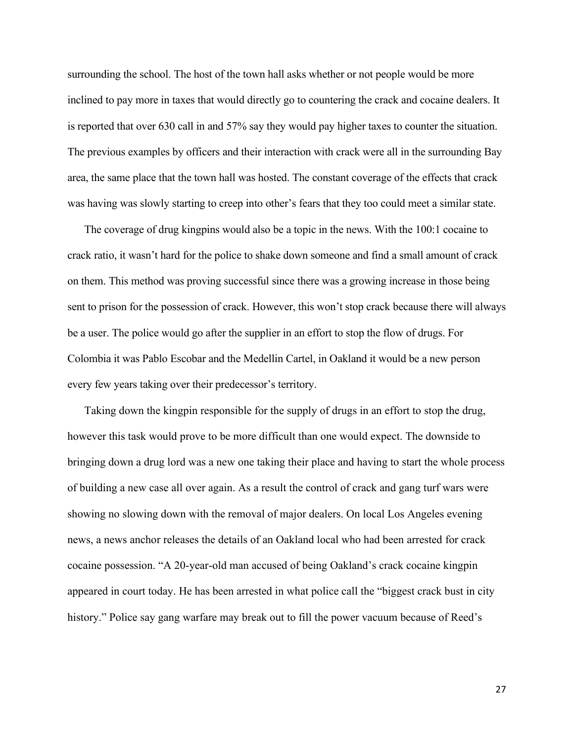surrounding the school. The host of the town hall asks whether or not people would be more inclined to pay more in taxes that would directly go to countering the crack and cocaine dealers. It is reported that over 630 call in and 57% say they would pay higher taxes to counter the situation. The previous examples by officers and their interaction with crack were all in the surrounding Bay area, the same place that the town hall was hosted. The constant coverage of the effects that crack was having was slowly starting to creep into other's fears that they too could meet a similar state.

The coverage of drug kingpins would also be a topic in the news. With the 100:1 cocaine to crack ratio, it wasn't hard for the police to shake down someone and find a small amount of crack on them. This method was proving successful since there was a growing increase in those being sent to prison for the possession of crack. However, this won't stop crack because there will always be a user. The police would go after the supplier in an effort to stop the flow of drugs. For Colombia it was Pablo Escobar and the Medellin Cartel, in Oakland it would be a new person every few years taking over their predecessor's territory.

Taking down the kingpin responsible for the supply of drugs in an effort to stop the drug, however this task would prove to be more difficult than one would expect. The downside to bringing down a drug lord was a new one taking their place and having to start the whole process of building a new case all over again. As a result the control of crack and gang turf wars were showing no slowing down with the removal of major dealers. On local Los Angeles evening news, a news anchor releases the details of an Oakland local who had been arrested for crack cocaine possession. "A 20-year-old man accused of being Oakland's crack cocaine kingpin appeared in court today. He has been arrested in what police call the "biggest crack bust in city history." Police say gang warfare may break out to fill the power vacuum because of Reed's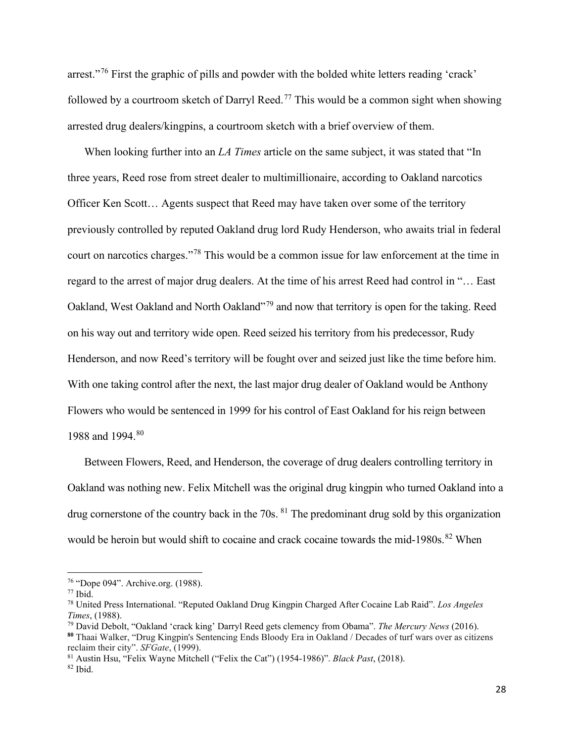arrest."[76](#page-28-0) First the graphic of pills and powder with the bolded white letters reading 'crack' followed by a courtroom sketch of Darryl Reed.<sup>[77](#page-28-1)</sup> This would be a common sight when showing arrested drug dealers/kingpins, a courtroom sketch with a brief overview of them.

When looking further into an *LA Times* article on the same subject, it was stated that "In three years, Reed rose from street dealer to multimillionaire, according to Oakland narcotics Officer Ken Scott… Agents suspect that Reed may have taken over some of the territory previously controlled by reputed Oakland drug lord Rudy Henderson, who awaits trial in federal court on narcotics charges."[78](#page-28-2) This would be a common issue for law enforcement at the time in regard to the arrest of major drug dealers. At the time of his arrest Reed had control in "… East Oakland, West Oakland and North Oakland"<sup>[79](#page-28-3)</sup> and now that territory is open for the taking. Reed on his way out and territory wide open. Reed seized his territory from his predecessor, Rudy Henderson, and now Reed's territory will be fought over and seized just like the time before him. With one taking control after the next, the last major drug dealer of Oakland would be Anthony Flowers who would be sentenced in 1999 for his control of East Oakland for his reign between 1988 and 1994.<sup>80</sup>

Between Flowers, Reed, and Henderson, the coverage of drug dealers controlling territory in Oakland was nothing new. Felix Mitchell was the original drug kingpin who turned Oakland into a drug cornerstone of the country back in the 70s. <sup>[81](#page-28-5)</sup> The predominant drug sold by this organization would be heroin but would shift to cocaine and crack cocaine towards the mid-1980s.<sup>[82](#page-28-6)</sup> When

<span id="page-28-6"></span><span id="page-28-5"></span><sup>81</sup> Austin Hsu, "Felix Wayne Mitchell ("Felix the Cat") (1954-1986)". *Black Past*, (2018).  $82$  Ibid.

<span id="page-28-2"></span>

<span id="page-28-1"></span><span id="page-28-0"></span><sup>76</sup> "Dope 094". Archive.org. (1988). 77 Ibid. 78 United Press International. "Reputed Oakland Drug Kingpin Charged After Cocaine Lab Raid". *Los Angeles* 

<span id="page-28-4"></span><span id="page-28-3"></span><sup>&</sup>lt;sup>79</sup> David Debolt, "Oakland 'crack king' Darryl Reed gets clemency from Obama". *The Mercury News* (2016). **<sup>80</sup>** Thaai Walker, "Drug Kingpin's Sentencing Ends Bloody Era in Oakland / Decades of turf wars over as citizens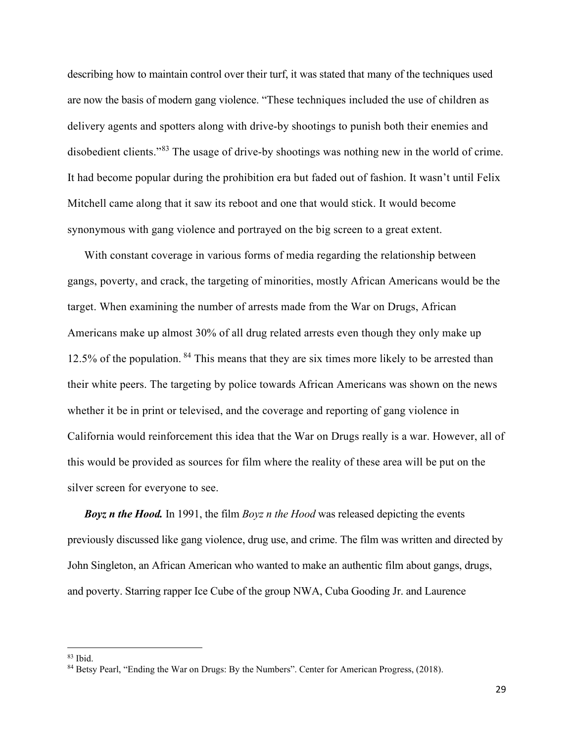describing how to maintain control over their turf, it was stated that many of the techniques used are now the basis of modern gang violence. "These techniques included the use of children as delivery agents and spotters along with drive-by shootings to punish both their enemies and disobedient clients."<sup>[83](#page-29-0)</sup> The usage of drive-by shootings was nothing new in the world of crime. It had become popular during the prohibition era but faded out of fashion. It wasn't until Felix Mitchell came along that it saw its reboot and one that would stick. It would become synonymous with gang violence and portrayed on the big screen to a great extent.

With constant coverage in various forms of media regarding the relationship between gangs, poverty, and crack, the targeting of minorities, mostly African Americans would be the target. When examining the number of arrests made from the War on Drugs, African Americans make up almost 30% of all drug related arrests even though they only make up 12.5% of the population. <sup>[84](#page-29-1)</sup> This means that they are six times more likely to be arrested than their white peers. The targeting by police towards African Americans was shown on the news whether it be in print or televised, and the coverage and reporting of gang violence in California would reinforcement this idea that the War on Drugs really is a war. However, all of this would be provided as sources for film where the reality of these area will be put on the silver screen for everyone to see.

*Boyz n the Hood.* In 1991, the film *Boyz n the Hood* was released depicting the events previously discussed like gang violence, drug use, and crime. The film was written and directed by John Singleton, an African American who wanted to make an authentic film about gangs, drugs, and poverty. Starring rapper Ice Cube of the group NWA, Cuba Gooding Jr. and Laurence

<span id="page-29-0"></span> $83$  Ibid.

<span id="page-29-1"></span><sup>84</sup> Betsy Pearl, "Ending the War on Drugs: By the Numbers". Center for American Progress, (2018).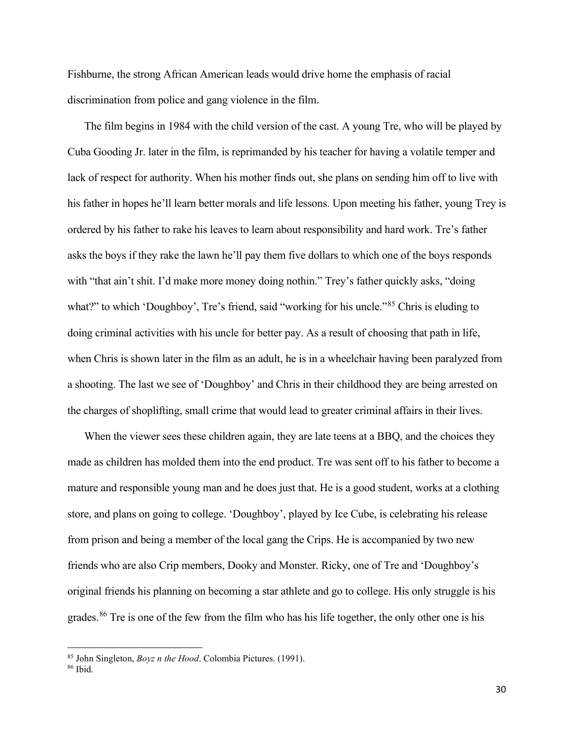Fishburne, the strong African American leads would drive home the emphasis of racial discrimination from police and gang violence in the film.

The film begins in 1984 with the child version of the cast. A young Tre, who will be played by Cuba Gooding Jr. later in the film, is reprimanded by his teacher for having a volatile temper and lack of respect for authority. When his mother finds out, she plans on sending him off to live with his father in hopes he'll learn better morals and life lessons. Upon meeting his father, young Trey is ordered by his father to rake his leaves to learn about responsibility and hard work. Tre's father asks the boys if they rake the lawn he'll pay them five dollars to which one of the boys responds with "that ain't shit. I'd make more money doing nothin." Trey's father quickly asks, "doing what?" to which 'Doughboy', Tre's friend, said "working for his uncle."<sup>[85](#page-30-0)</sup> Chris is eluding to doing criminal activities with his uncle for better pay. As a result of choosing that path in life, when Chris is shown later in the film as an adult, he is in a wheelchair having been paralyzed from a shooting. The last we see of 'Doughboy' and Chris in their childhood they are being arrested on the charges of shoplifting, small crime that would lead to greater criminal affairs in their lives.

When the viewer sees these children again, they are late teens at a BBQ, and the choices they made as children has molded them into the end product. Tre was sent off to his father to become a mature and responsible young man and he does just that. He is a good student, works at a clothing store, and plans on going to college. 'Doughboy', played by Ice Cube, is celebrating his release from prison and being a member of the local gang the Crips. He is accompanied by two new friends who are also Crip members, Dooky and Monster. Ricky, one of Tre and 'Doughboy's original friends his planning on becoming a star athlete and go to college. His only struggle is his grades.<sup>[86](#page-30-1)</sup> Tre is one of the few from the film who has his life together, the only other one is his

<span id="page-30-1"></span><span id="page-30-0"></span><sup>85</sup> John Singleton, *Boyz n the Hood*. Colombia Pictures. (1991). 86 Ibid.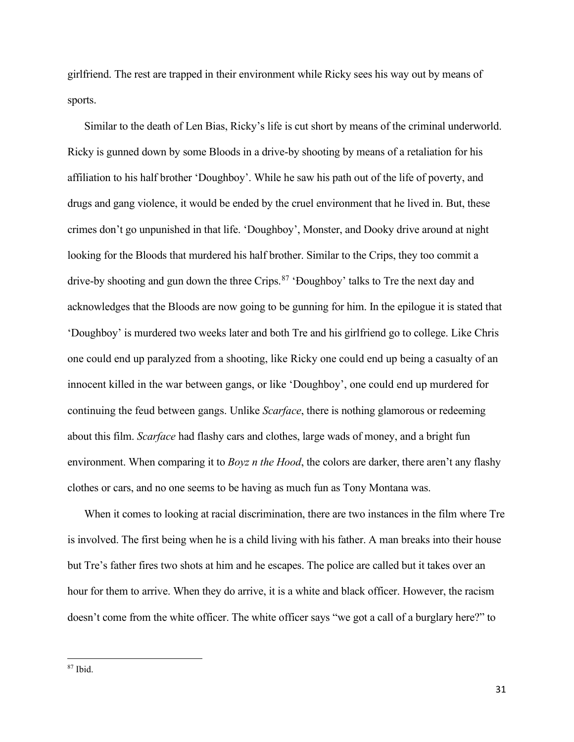girlfriend. The rest are trapped in their environment while Ricky sees his way out by means of sports.

Similar to the death of Len Bias, Ricky's life is cut short by means of the criminal underworld. Ricky is gunned down by some Bloods in a drive-by shooting by means of a retaliation for his affiliation to his half brother 'Doughboy'. While he saw his path out of the life of poverty, and drugs and gang violence, it would be ended by the cruel environment that he lived in. But, these crimes don't go unpunished in that life. 'Doughboy', Monster, and Dooky drive around at night looking for the Bloods that murdered his half brother. Similar to the Crips, they too commit a drive-by shooting and gun down the three Crips.<sup>[87](#page-31-0)</sup> 'Doughboy' talks to Tre the next day and acknowledges that the Bloods are now going to be gunning for him. In the epilogue it is stated that 'Doughboy' is murdered two weeks later and both Tre and his girlfriend go to college. Like Chris one could end up paralyzed from a shooting, like Ricky one could end up being a casualty of an innocent killed in the war between gangs, or like 'Doughboy', one could end up murdered for continuing the feud between gangs. Unlike *Scarface*, there is nothing glamorous or redeeming about this film. *Scarface* had flashy cars and clothes, large wads of money, and a bright fun environment. When comparing it to *Boyz n the Hood*, the colors are darker, there aren't any flashy clothes or cars, and no one seems to be having as much fun as Tony Montana was.

When it comes to looking at racial discrimination, there are two instances in the film where Tre is involved. The first being when he is a child living with his father. A man breaks into their house but Tre's father fires two shots at him and he escapes. The police are called but it takes over an hour for them to arrive. When they do arrive, it is a white and black officer. However, the racism doesn't come from the white officer. The white officer says "we got a call of a burglary here?" to

<span id="page-31-0"></span><sup>87</sup> Ibid.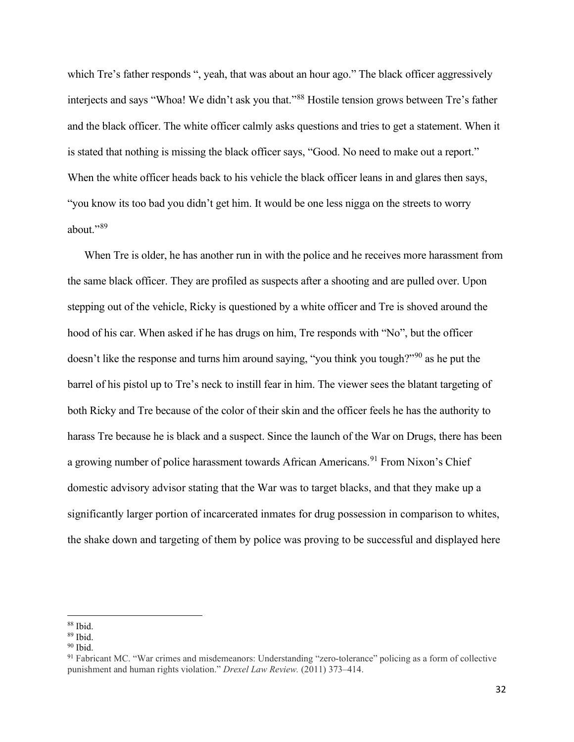which Tre's father responds ", yeah, that was about an hour ago." The black officer aggressively interjects and says "Whoa! We didn't ask you that."[88](#page-32-0) Hostile tension grows between Tre's father and the black officer. The white officer calmly asks questions and tries to get a statement. When it is stated that nothing is missing the black officer says, "Good. No need to make out a report." When the white officer heads back to his vehicle the black officer leans in and glares then says, "you know its too bad you didn't get him. It would be one less nigga on the streets to worry about."[89](#page-32-1)

When Tre is older, he has another run in with the police and he receives more harassment from the same black officer. They are profiled as suspects after a shooting and are pulled over. Upon stepping out of the vehicle, Ricky is questioned by a white officer and Tre is shoved around the hood of his car. When asked if he has drugs on him, Tre responds with "No", but the officer doesn't like the response and turns him around saying, "you think you tough?"<sup>[90](#page-32-2)</sup> as he put the barrel of his pistol up to Tre's neck to instill fear in him. The viewer sees the blatant targeting of both Ricky and Tre because of the color of their skin and the officer feels he has the authority to harass Tre because he is black and a suspect. Since the launch of the War on Drugs, there has been a growing number of police harassment towards African Americans.<sup>[91](#page-32-3)</sup> From Nixon's Chief domestic advisory advisor stating that the War was to target blacks, and that they make up a significantly larger portion of incarcerated inmates for drug possession in comparison to whites, the shake down and targeting of them by police was proving to be successful and displayed here

<span id="page-32-0"></span> $88$  Ibid.

<span id="page-32-1"></span> $\frac{89}{90}$  Ibid.

<span id="page-32-2"></span>

<span id="page-32-3"></span><sup>&</sup>lt;sup>91</sup> Fabricant MC. "War crimes and misdemeanors: Understanding "zero-tolerance" policing as a form of collective punishment and human rights violation." *Drexel Law Review.* (2011) 373–414.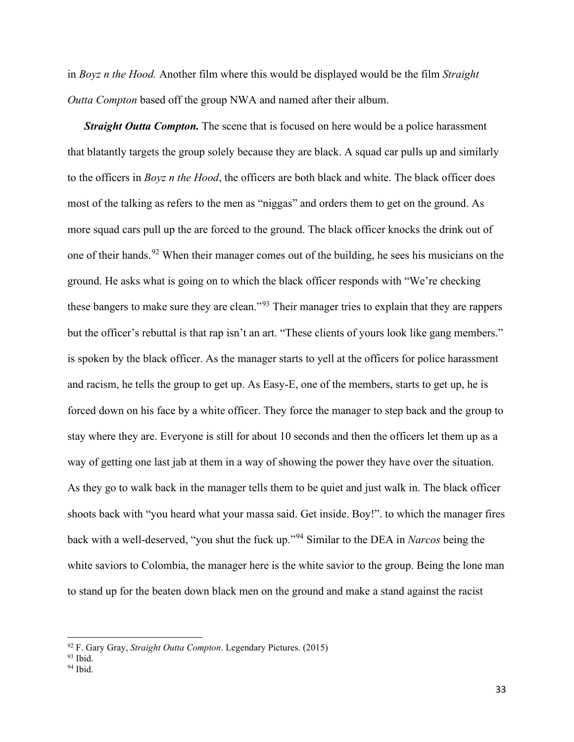in *Boyz n the Hood.* Another film where this would be displayed would be the film *Straight Outta Compton* based off the group NWA and named after their album.

**Straight Outta Compton.** The scene that is focused on here would be a police harassment that blatantly targets the group solely because they are black. A squad car pulls up and similarly to the officers in *Boyz n the Hood*, the officers are both black and white. The black officer does most of the talking as refers to the men as "niggas" and orders them to get on the ground. As more squad cars pull up the are forced to the ground. The black officer knocks the drink out of one of their hands.<sup>[92](#page-33-0)</sup> When their manager comes out of the building, he sees his musicians on the ground. He asks what is going on to which the black officer responds with "We're checking these bangers to make sure they are clean."[93](#page-33-1) Their manager tries to explain that they are rappers but the officer's rebuttal is that rap isn't an art. "These clients of yours look like gang members." is spoken by the black officer. As the manager starts to yell at the officers for police harassment and racism, he tells the group to get up. As Easy-E, one of the members, starts to get up, he is forced down on his face by a white officer. They force the manager to step back and the group to stay where they are. Everyone is still for about 10 seconds and then the officers let them up as a way of getting one last jab at them in a way of showing the power they have over the situation. As they go to walk back in the manager tells them to be quiet and just walk in. The black officer shoots back with "you heard what your massa said. Get inside. Boy!". to which the manager fires back with a well-deserved, "you shut the fuck up."[94](#page-33-2) Similar to the DEA in *Narcos* being the white saviors to Colombia, the manager here is the white savior to the group. Being the lone man to stand up for the beaten down black men on the ground and make a stand against the racist

<span id="page-33-0"></span><sup>92</sup> F. Gary Gray, *Straight Outta Compton*. Legendary Pictures. (2015) 93 Ibid. 94 Ibid.

<span id="page-33-2"></span><span id="page-33-1"></span>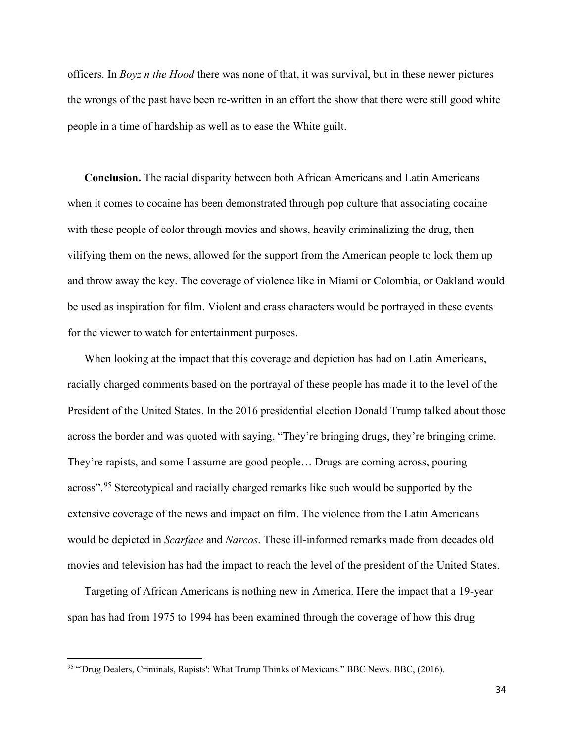officers. In *Boyz n the Hood* there was none of that, it was survival, but in these newer pictures the wrongs of the past have been re-written in an effort the show that there were still good white people in a time of hardship as well as to ease the White guilt.

**Conclusion.** The racial disparity between both African Americans and Latin Americans when it comes to cocaine has been demonstrated through pop culture that associating cocaine with these people of color through movies and shows, heavily criminalizing the drug, then vilifying them on the news, allowed for the support from the American people to lock them up and throw away the key. The coverage of violence like in Miami or Colombia, or Oakland would be used as inspiration for film. Violent and crass characters would be portrayed in these events for the viewer to watch for entertainment purposes.

When looking at the impact that this coverage and depiction has had on Latin Americans, racially charged comments based on the portrayal of these people has made it to the level of the President of the United States. In the 2016 presidential election Donald Trump talked about those across the border and was quoted with saying, "They're bringing drugs, they're bringing crime. They're rapists, and some I assume are good people… Drugs are coming across, pouring across".<sup>[95](#page-34-0)</sup> Stereotypical and racially charged remarks like such would be supported by the extensive coverage of the news and impact on film. The violence from the Latin Americans would be depicted in *Scarface* and *Narcos*. These ill-informed remarks made from decades old movies and television has had the impact to reach the level of the president of the United States.

Targeting of African Americans is nothing new in America. Here the impact that a 19-year span has had from 1975 to 1994 has been examined through the coverage of how this drug

<span id="page-34-0"></span><sup>95 &</sup>quot;Drug Dealers, Criminals, Rapists': What Trump Thinks of Mexicans." BBC News. BBC, (2016).